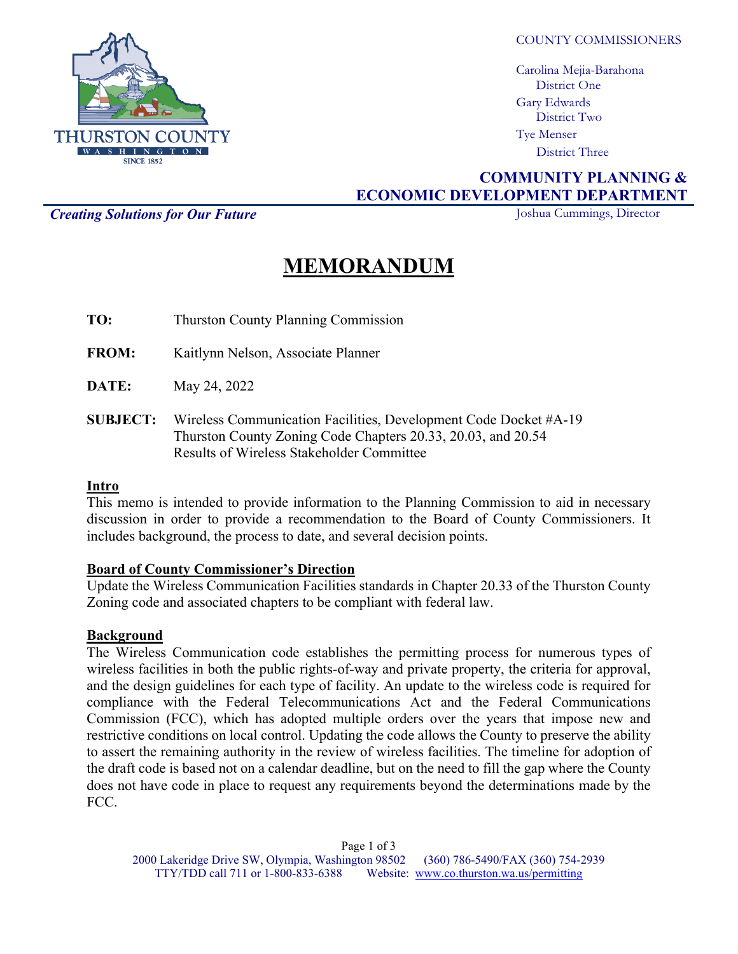

COUNTY COMMISSIONERS

Carolina Mejia-Barahona District One Gary Edwards District Two Tye Menser District Three

# **COMMUNITY PLANNING & ECONOMIC DEVELOPMENT DEPARTMENT**

**Creating Solutions for Our Future Joshua Cummings, Director** 

# **MEMORANDUM**

**TO:** Thurston County Planning Commission

**FROM:** Kaitlynn Nelson, Associate Planner

**DATE:** May 24, 2022

**SUBJECT:** Wireless Communication Facilities, Development Code Docket #A-19 Thurston County Zoning Code Chapters 20.33, 20.03, and 20.54 Results of Wireless Stakeholder Committee

# **Intro**

This memo is intended to provide information to the Planning Commission to aid in necessary discussion in order to provide a recommendation to the Board of County Commissioners. It includes background, the process to date, and several decision points.

# **Board of County Commissioner's Direction**

Update the Wireless Communication Facilities standards in Chapter 20.33 of the Thurston County Zoning code and associated chapters to be compliant with federal law.

# **Background**

The Wireless Communication code establishes the permitting process for numerous types of wireless facilities in both the public rights-of-way and private property, the criteria for approval, and the design guidelines for each type of facility. An update to the wireless code is required for compliance with the Federal Telecommunications Act and the Federal Communications Commission (FCC), which has adopted multiple orders over the years that impose new and restrictive conditions on local control. Updating the code allows the County to preserve the ability to assert the remaining authority in the review of wireless facilities. The timeline for adoption of the draft code is based not on a calendar deadline, but on the need to fill the gap where the County does not have code in place to request any requirements beyond the determinations made by the FCC.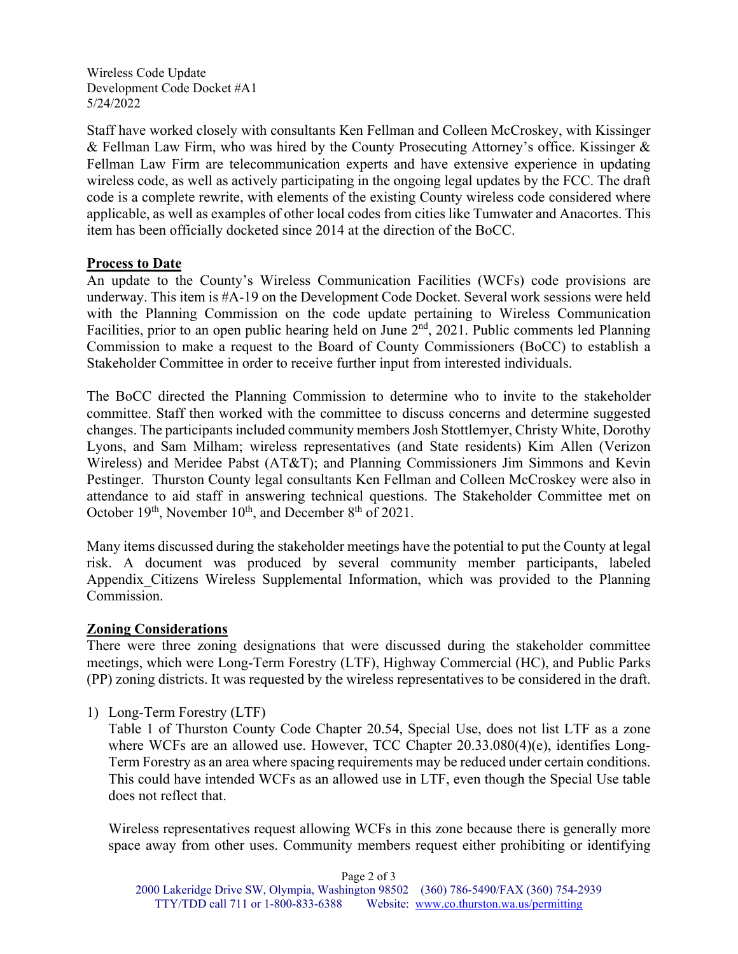Wireless Code Update Development Code Docket #A1 5/24/2022

Staff have worked closely with consultants Ken Fellman and Colleen McCroskey, with Kissinger & Fellman Law Firm, who was hired by the County Prosecuting Attorney's office. Kissinger & Fellman Law Firm are telecommunication experts and have extensive experience in updating wireless code, as well as actively participating in the ongoing legal updates by the FCC. The draft code is a complete rewrite, with elements of the existing County wireless code considered where applicable, as well as examples of other local codes from cities like Tumwater and Anacortes. This item has been officially docketed since 2014 at the direction of the BoCC.

# **Process to Date**

An update to the County's Wireless Communication Facilities (WCFs) code provisions are underway. This item is #A-19 on the Development Code Docket. Several work sessions were held with the Planning Commission on the code update pertaining to Wireless Communication Facilities, prior to an open public hearing held on June 2<sup>nd</sup>, 2021. Public comments led Planning Commission to make a request to the Board of County Commissioners (BoCC) to establish a Stakeholder Committee in order to receive further input from interested individuals.

The BoCC directed the Planning Commission to determine who to invite to the stakeholder committee. Staff then worked with the committee to discuss concerns and determine suggested changes. The participants included community members Josh Stottlemyer, Christy White, Dorothy Lyons, and Sam Milham; wireless representatives (and State residents) Kim Allen (Verizon Wireless) and Meridee Pabst (AT&T); and Planning Commissioners Jim Simmons and Kevin Pestinger. Thurston County legal consultants Ken Fellman and Colleen McCroskey were also in attendance to aid staff in answering technical questions. The Stakeholder Committee met on October  $19<sup>th</sup>$ , November  $10<sup>th</sup>$ , and December  $8<sup>th</sup>$  of 2021.

Many items discussed during the stakeholder meetings have the potential to put the County at legal risk. A document was produced by several community member participants, labeled Appendix\_Citizens Wireless Supplemental Information, which was provided to the Planning Commission.

# **Zoning Considerations**

There were three zoning designations that were discussed during the stakeholder committee meetings, which were Long-Term Forestry (LTF), Highway Commercial (HC), and Public Parks (PP) zoning districts. It was requested by the wireless representatives to be considered in the draft.

1) Long-Term Forestry (LTF)

Table 1 of Thurston County Code Chapter 20.54, Special Use, does not list LTF as a zone where WCFs are an allowed use. However, TCC Chapter 20.33.080(4)(e), identifies Long-Term Forestry as an area where spacing requirements may be reduced under certain conditions. This could have intended WCFs as an allowed use in LTF, even though the Special Use table does not reflect that.

Wireless representatives request allowing WCFs in this zone because there is generally more space away from other uses. Community members request either prohibiting or identifying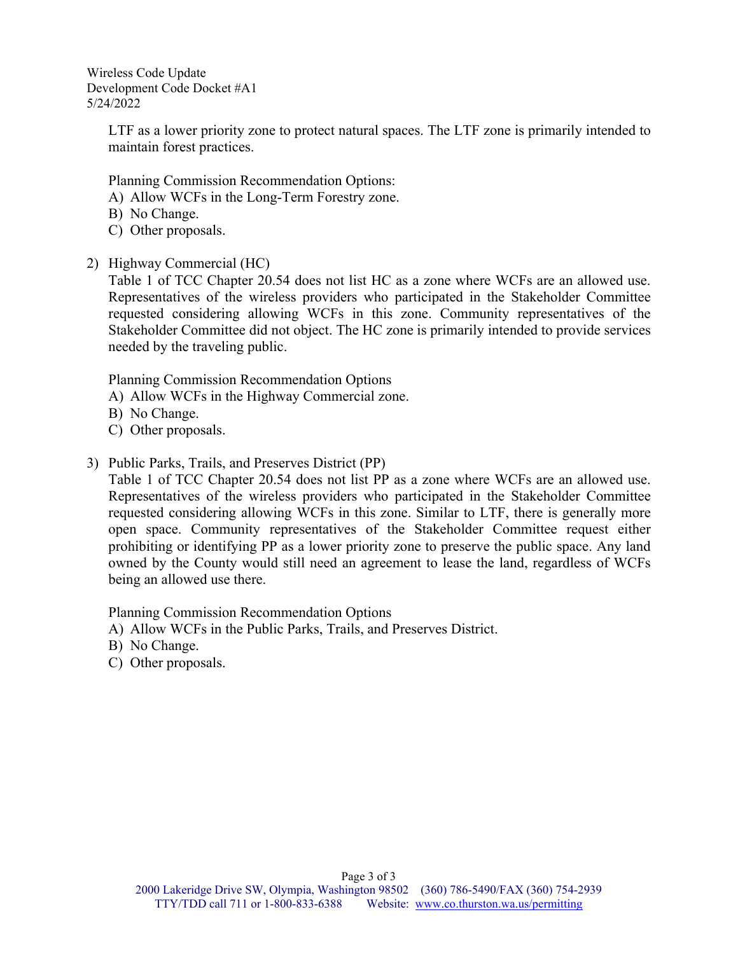Wireless Code Update Development Code Docket #A1 5/24/2022

> LTF as a lower priority zone to protect natural spaces. The LTF zone is primarily intended to maintain forest practices.

Planning Commission Recommendation Options:

- A) Allow WCFs in the Long-Term Forestry zone.
- B) No Change.
- C) Other proposals.
- 2) Highway Commercial (HC)

Table 1 of TCC Chapter 20.54 does not list HC as a zone where WCFs are an allowed use. Representatives of the wireless providers who participated in the Stakeholder Committee requested considering allowing WCFs in this zone. Community representatives of the Stakeholder Committee did not object. The HC zone is primarily intended to provide services needed by the traveling public.

Planning Commission Recommendation Options

- A) Allow WCFs in the Highway Commercial zone.
- B) No Change.
- C) Other proposals.
- 3) Public Parks, Trails, and Preserves District (PP)

Table 1 of TCC Chapter 20.54 does not list PP as a zone where WCFs are an allowed use. Representatives of the wireless providers who participated in the Stakeholder Committee requested considering allowing WCFs in this zone. Similar to LTF, there is generally more open space. Community representatives of the Stakeholder Committee request either prohibiting or identifying PP as a lower priority zone to preserve the public space. Any land owned by the County would still need an agreement to lease the land, regardless of WCFs being an allowed use there.

Planning Commission Recommendation Options

- A) Allow WCFs in the Public Parks, Trails, and Preserves District.
- B) No Change.
- C) Other proposals.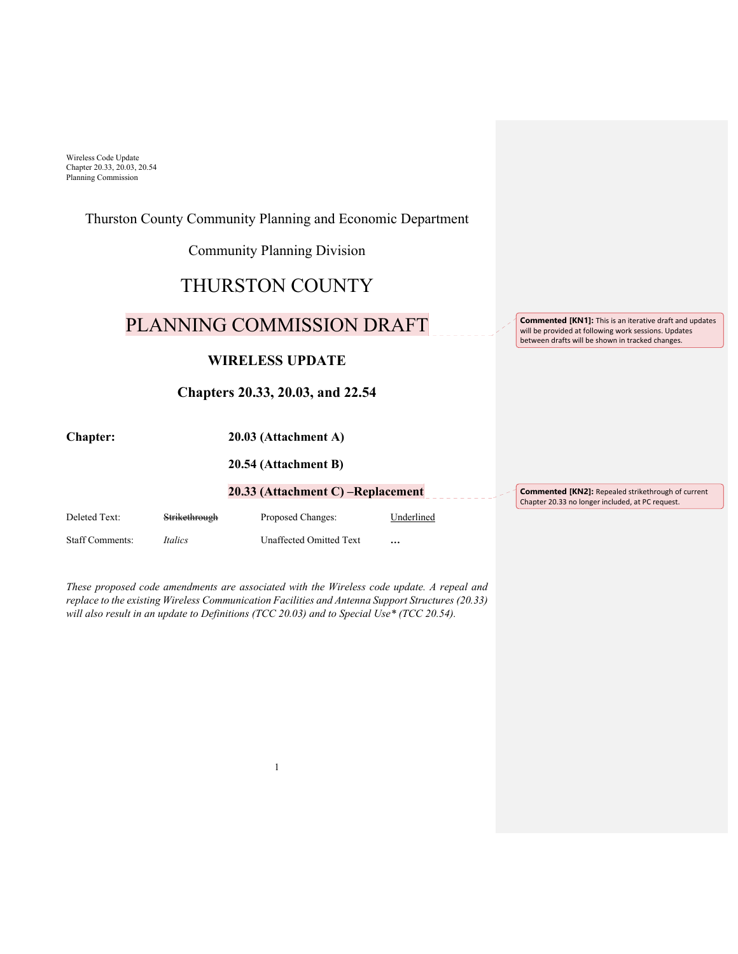# Thurston County Community Planning and Economic Department Community Planning Division THURSTON COUNTY PLANNING COMMISSION DRAFT **WIRELESS UPDATE Chapters 20.33, 20.03, and 22.54 Chapter: 20.03 (Attachment A) 20.54 (Attachment B) 20.33 (Attachment C) –Replacement**  Deleted Text: Strikethrough Proposed Changes: Underlined Staff Comments: *Italics* Unaffected Omitted Text **… Commented [KN1]:** This is an iterative draft and updates will be provided at following work sessions. Updates between drafts will be shown in tracked changes.

*These proposed code amendments are associated with the Wireless code update. A repeal and replace to the existing Wireless Communication Facilities and Antenna Support Structures (20.33) will also result in an update to Definitions (TCC 20.03) and to Special Use\* (TCC 20.54).* 

**Commented [KN2]:** Repealed strikethrough of current Chapter 20.33 no longer included, at PC request.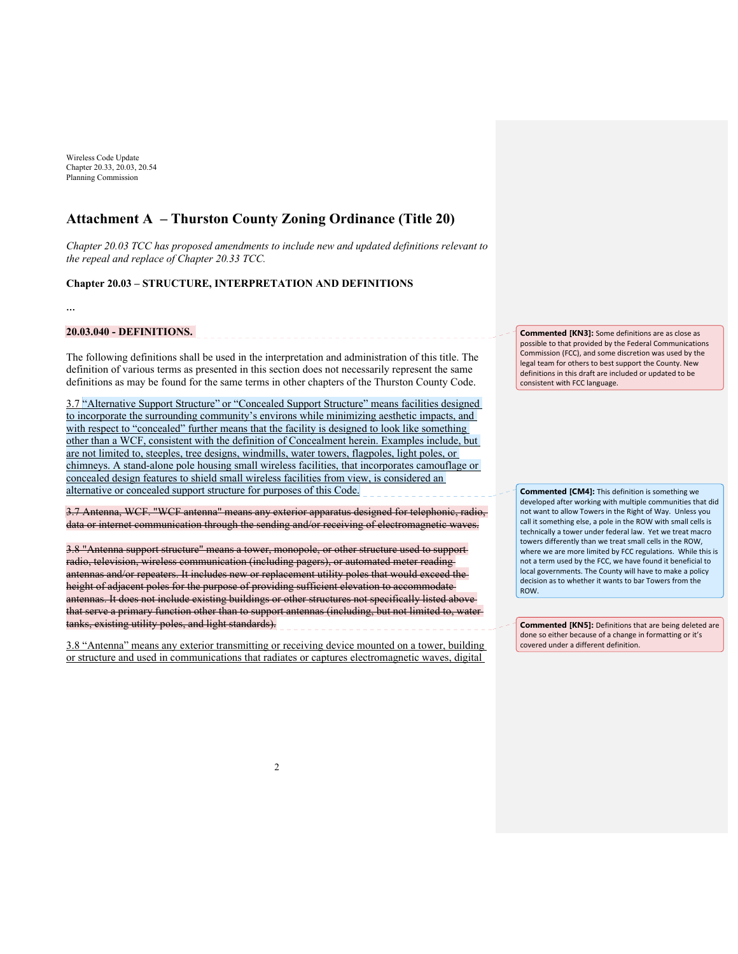# **Attachment A – Thurston County Zoning Ordinance (Title 20)**

*Chapter 20.03 TCC has proposed amendments to include new and updated definitions relevant to the repeal and replace of Chapter 20.33 TCC.*

# **Chapter 20.03 – STRUCTURE, INTERPRETATION AND DEFINITIONS**

**…** 

# **20.03.040 - DEFINITIONS.**

The following definitions shall be used in the interpretation and administration of this title. The definition of various terms as presented in this section does not necessarily represent the same definitions as may be found for the same terms in other chapters of the Thurston County Code.

\_\_\_\_\_\_\_\_\_\_\_\_\_\_\_\_\_\_\_\_\_\_\_\_\_\_\_\_\_\_\_\_

3.7 "Alternative Support Structure" or "Concealed Support Structure" means facilities designed to incorporate the surrounding community's environs while minimizing aesthetic impacts, and with respect to "concealed" further means that the facility is designed to look like something other than a WCF, consistent with the definition of Concealment herein. Examples include, but are not limited to, steeples, tree designs, windmills, water towers, flagpoles, light poles, or chimneys. A stand-alone pole housing small wireless facilities, that incorporates camouflage or concealed design features to shield small wireless facilities from view, is considered an alternative or concealed support structure for purposes of this Code.

3.7 Antenna, WCF. "WCF antenna" means any exterior apparatus designed for telephonic, radio, data or internet communication through the sending and/or receiving of electromagnetic waves.

3.8 "Antenna support structure" means a tower, monopole, or other structure used to support radio, television, wireless communication (including pagers), or automated meter reading antennas and/or repeaters. It includes new or replacement utility poles that would exceed the height of adjacent poles for the purpose of providing sufficient elevation to accommodate antennas. It does not include existing buildings or other structures not specifically listed above that serve a primary function other than to support antennas (including, but not limited to, water tanks, existing utility poles, and light standards).

3.8 "Antenna" means any exterior transmitting or receiving device mounted on a tower, building or structure and used in communications that radiates or captures electromagnetic waves, digital

**Commented [KN3]:** Some definitions are as close as possible to that provided by the Federal Communications Commission (FCC), and some discretion was used by the legal team for others to best support the County. New definitions in this draft are included or updated to be consistent with FCC language.

**Commented [CM4]:** This definition is something we developed after working with multiple communities that did not want to allow Towers in the Right of Way. Unless you call it something else, a pole in the ROW with small cells is technically a tower under federal law. Yet we treat macro towers differently than we treat small cells in the ROW, where we are more limited by FCC regulations. While this is not a term used by the FCC, we have found it beneficial to local governments. The County will have to make a policy decision as to whether it wants to bar Towers from the **ROW** 

**Commented [KN5]:** Definitions that are being deleted are done so either because of a change in formatting or it's covered under a different definition.

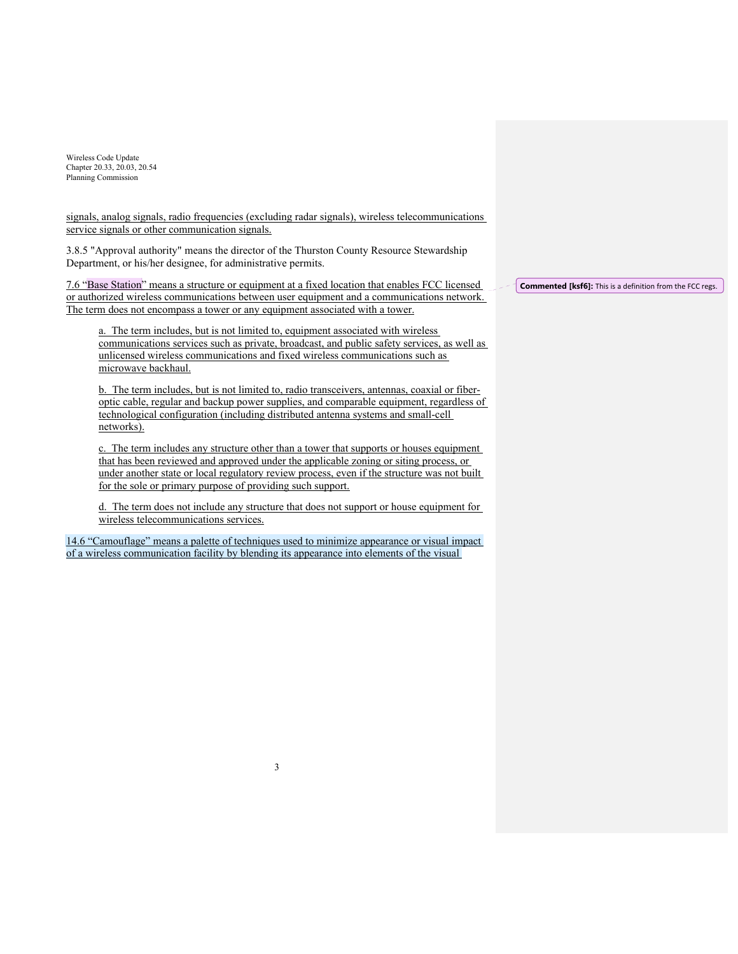signals, analog signals, radio frequencies (excluding radar signals), wireless telecommunications service signals or other communication signals.

3.8.5 "Approval authority" means the director of the Thurston County Resource Stewardship Department, or his/her designee, for administrative permits.

7.6 "Base Station" means a structure or equipment at a fixed location that enables FCC licensed or authorized wireless communications between user equipment and a communications network. The term does not encompass a tower or any equipment associated with a tower.

a. The term includes, but is not limited to, equipment associated with wireless communications services such as private, broadcast, and public safety services, as well as unlicensed wireless communications and fixed wireless communications such as microwave backhaul.

b. The term includes, but is not limited to, radio transceivers, antennas, coaxial or fiberoptic cable, regular and backup power supplies, and comparable equipment, regardless of technological configuration (including distributed antenna systems and small-cell networks).

c. The term includes any structure other than a tower that supports or houses equipment that has been reviewed and approved under the applicable zoning or siting process, or under another state or local regulatory review process, even if the structure was not built for the sole or primary purpose of providing such support.

d. The term does not include any structure that does not support or house equipment for wireless telecommunications services.

14.6 "Camouflage" means a palette of techniques used to minimize appearance or visual impact of a wireless communication facility by blending its appearance into elements of the visual

3

**Commented [ksf6]:** This is a definition from the FCC regs.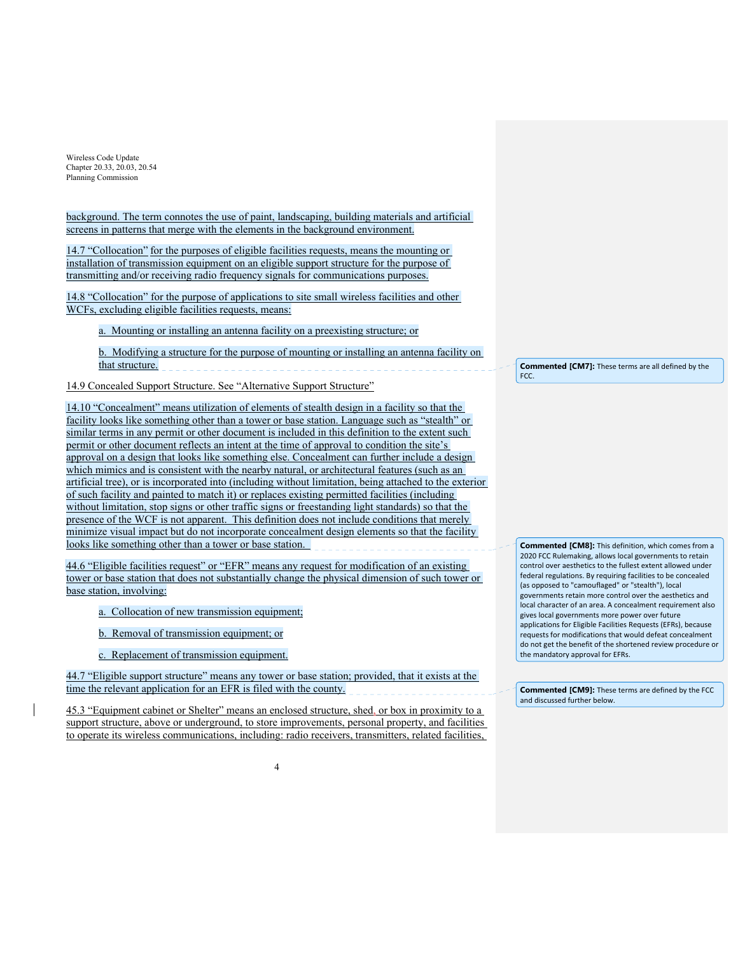background. The term connotes the use of paint, landscaping, building materials and artificial screens in patterns that merge with the elements in the background environment.

14.7 "Collocation" for the purposes of eligible facilities requests, means the mounting or installation of transmission equipment on an eligible support structure for the purpose of transmitting and/or receiving radio frequency signals for communications purposes.

14.8 "Collocation" for the purpose of applications to site small wireless facilities and other WCFs, excluding eligible facilities requests, means:

a. Mounting or installing an antenna facility on a preexisting structure; or

b. Modifying a structure for the purpose of mounting or installing an antenna facility on that structure.

14.9 Concealed Support Structure. See "Alternative Support Structure"

14.10 "Concealment" means utilization of elements of stealth design in a facility so that the facility looks like something other than a tower or base station. Language such as "stealth" or similar terms in any permit or other document is included in this definition to the extent such permit or other document reflects an intent at the time of approval to condition the site's approval on a design that looks like something else. Concealment can further include a design which mimics and is consistent with the nearby natural, or architectural features (such as an artificial tree), or is incorporated into (including without limitation, being attached to the exterior of such facility and painted to match it) or replaces existing permitted facilities (including without limitation, stop signs or other traffic signs or freestanding light standards) so that the presence of the WCF is not apparent. This definition does not include conditions that merely minimize visual impact but do not incorporate concealment design elements so that the facility looks like something other than a tower or base station.

44.6 "Eligible facilities request" or "EFR" means any request for modification of an existing tower or base station that does not substantially change the physical dimension of such tower or base station, involving:

- a. Collocation of new transmission equipment:
- b. Removal of transmission equipment; or
- c. Replacement of transmission equipment.

44.7 "Eligible support structure" means any tower or base station; provided, that it exists at the time the relevant application for an EFR is filed with the county.

45.3 "Equipment cabinet or Shelter" means an enclosed structure, shed, or box in proximity to a support structure, above or underground, to store improvements, personal property, and facilities to operate its wireless communications, including: radio receivers, transmitters, related facilities,

**Commented [CM7]:** These terms are all defined by the FCC.

**Commented [CM8]:** This definition, which comes from a 2020 FCC Rulemaking, allows local governments to retain control over aesthetics to the fullest extent allowed under federal regulations. By requiring facilities to be concealed (as opposed to "camouflaged" or "stealth"), local governments retain more control over the aesthetics and local character of an area. A concealment requirement also gives local governments more power over future applications for Eligible Facilities Requests (EFRs), because requests for modifications that would defeat concealment do not get the benefit of the shortened review procedure or the mandatory approval for EFRs.

**Commented [CM9]:** These terms are defined by the FCC and discussed further below.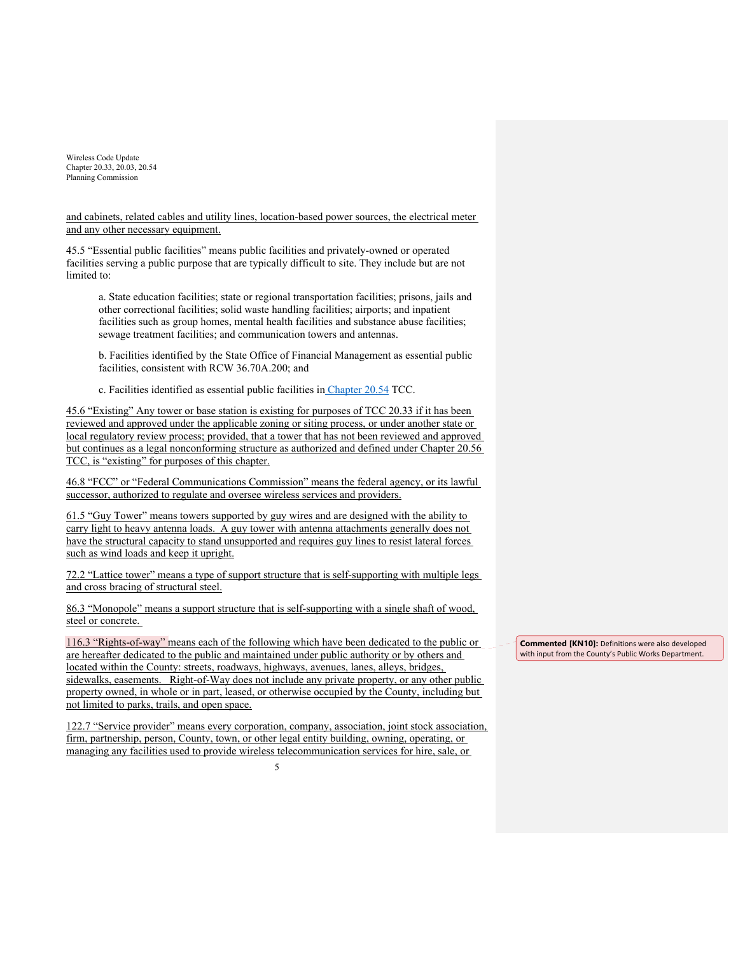and cabinets, related cables and utility lines, location-based power sources, the electrical meter and any other necessary equipment.

45.5 "Essential public facilities" means public facilities and privately-owned or operated facilities serving a public purpose that are typically difficult to site. They include but are not limited to:

a. State education facilities; state or regional transportation facilities; prisons, jails and other correctional facilities; solid waste handling facilities; airports; and inpatient facilities such as group homes, mental health facilities and substance abuse facilities; sewage treatment facilities; and communication towers and antennas.

b. Facilities identified by the State Office of Financial Management as essential public facilities, consistent with RCW 36.70A.200; and

c. Facilities identified as essential public facilities in Chapter 20.54 TCC.

45.6 "Existing" Any tower or base station is existing for purposes of TCC 20.33 if it has been reviewed and approved under the applicable zoning or siting process, or under another state or local regulatory review process; provided, that a tower that has not been reviewed and approved but continues as a legal nonconforming structure as authorized and defined under Chapter 20.56 TCC, is "existing" for purposes of this chapter.

46.8 "FCC" or "Federal Communications Commission" means the federal agency, or its lawful successor, authorized to regulate and oversee wireless services and providers.

61.5 "Guy Tower" means towers supported by guy wires and are designed with the ability to carry light to heavy antenna loads. A guy tower with antenna attachments generally does not have the structural capacity to stand unsupported and requires guy lines to resist lateral forces such as wind loads and keep it upright.

72.2 "Lattice tower" means a type of support structure that is self-supporting with multiple legs and cross bracing of structural steel.

86.3 "Monopole" means a support structure that is self-supporting with a single shaft of wood, steel or concrete.

116.3 "Rights-of-way" means each of the following which have been dedicated to the public or are hereafter dedicated to the public and maintained under public authority or by others and located within the County: streets, roadways, highways, avenues, lanes, alleys, bridges, sidewalks, easements. Right-of-Way does not include any private property, or any other public property owned, in whole or in part, leased, or otherwise occupied by the County, including but not limited to parks, trails, and open space.

122.7 "Service provider" means every corporation, company, association, joint stock association, firm, partnership, person, County, town, or other legal entity building, owning, operating, or managing any facilities used to provide wireless telecommunication services for hire, sale, or

**Commented [KN10]:** Definitions were also developed with input from the County's Public Works Department.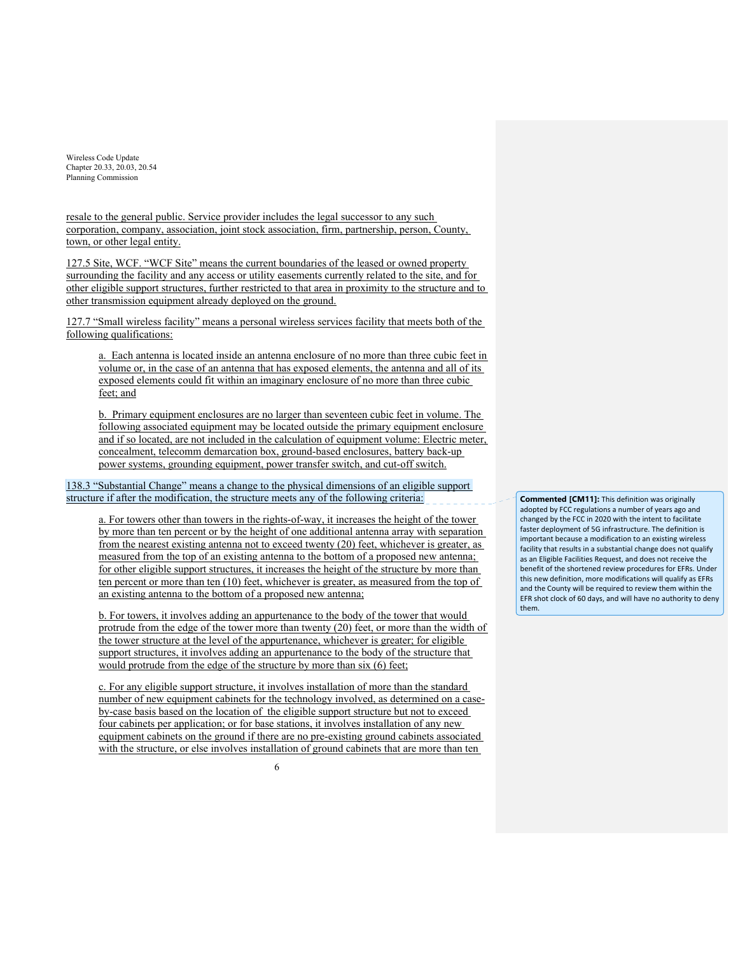resale to the general public. Service provider includes the legal successor to any such corporation, company, association, joint stock association, firm, partnership, person, County, town, or other legal entity.

127.5 Site, WCF. "WCF Site" means the current boundaries of the leased or owned property surrounding the facility and any access or utility easements currently related to the site, and for other eligible support structures, further restricted to that area in proximity to the structure and to other transmission equipment already deployed on the ground.

127.7 "Small wireless facility" means a personal wireless services facility that meets both of the following qualifications:

a. Each antenna is located inside an antenna enclosure of no more than three cubic feet in volume or, in the case of an antenna that has exposed elements, the antenna and all of its exposed elements could fit within an imaginary enclosure of no more than three cubic feet; and

b. Primary equipment enclosures are no larger than seventeen cubic feet in volume. The following associated equipment may be located outside the primary equipment enclosure and if so located, are not included in the calculation of equipment volume: Electric meter, concealment, telecomm demarcation box, ground-based enclosures, battery back-up power systems, grounding equipment, power transfer switch, and cut-off switch.

138.3 "Substantial Change" means a change to the physical dimensions of an eligible support structure if after the modification, the structure meets any of the following criteria:

a. For towers other than towers in the rights-of-way, it increases the height of the tower by more than ten percent or by the height of one additional antenna array with separation from the nearest existing antenna not to exceed twenty (20) feet, whichever is greater, as measured from the top of an existing antenna to the bottom of a proposed new antenna; for other eligible support structures, it increases the height of the structure by more than ten percent or more than ten (10) feet, whichever is greater, as measured from the top of an existing antenna to the bottom of a proposed new antenna;

b. For towers, it involves adding an appurtenance to the body of the tower that would protrude from the edge of the tower more than twenty (20) feet, or more than the width of the tower structure at the level of the appurtenance, whichever is greater; for eligible support structures, it involves adding an appurtenance to the body of the structure that would protrude from the edge of the structure by more than six (6) feet;

c. For any eligible support structure, it involves installation of more than the standard number of new equipment cabinets for the technology involved, as determined on a caseby-case basis based on the location of the eligible support structure but not to exceed four cabinets per application; or for base stations, it involves installation of any new equipment cabinets on the ground if there are no pre-existing ground cabinets associated with the structure, or else involves installation of ground cabinets that are more than ten

**Commented [CM11]:** This definition was originally adopted by FCC regulations a number of years ago and changed by the FCC in 2020 with the intent to facilitate faster deployment of 5G infrastructure. The definition is important because a modification to an existing wireless facility that results in a substantial change does not qualify as an Eligible Facilities Request, and does not receive the benefit of the shortened review procedures for EFRs. Under this new definition, more modifications will qualify as EFRs and the County will be required to review them within the EFR shot clock of 60 days, and will have no authority to deny them.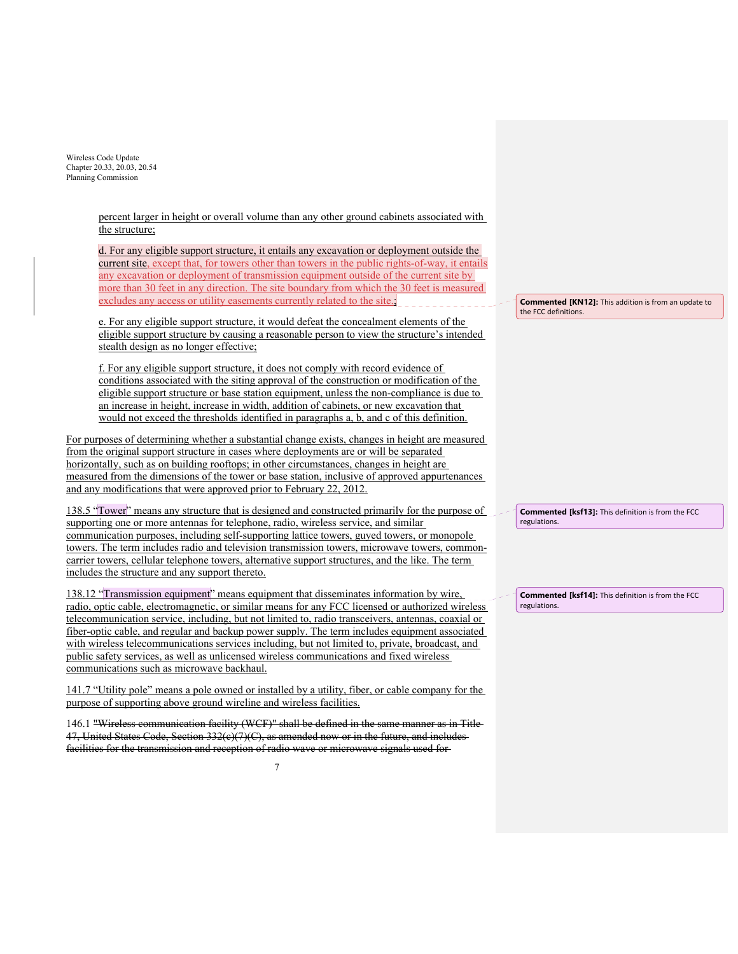> percent larger in height or overall volume than any other ground cabinets associated with the structure;

> d. For any eligible support structure, it entails any excavation or deployment outside the current site, except that, for towers other than towers in the public rights-of-way, it entails any excavation or deployment of transmission equipment outside of the current site by more than 30 feet in any direction. The site boundary from which the 30 feet is measured excludes any access or utility easements currently related to the site.;

> e. For any eligible support structure, it would defeat the concealment elements of the eligible support structure by causing a reasonable person to view the structure's intended stealth design as no longer effective;

> f. For any eligible support structure, it does not comply with record evidence of conditions associated with the siting approval of the construction or modification of the eligible support structure or base station equipment, unless the non-compliance is due to an increase in height, increase in width, addition of cabinets, or new excavation that would not exceed the thresholds identified in paragraphs a, b, and c of this definition.

For purposes of determining whether a substantial change exists, changes in height are measured from the original support structure in cases where deployments are or will be separated horizontally, such as on building rooftops; in other circumstances, changes in height are measured from the dimensions of the tower or base station, inclusive of approved appurtenances and any modifications that were approved prior to February 22, 2012.

138.5 "Tower" means any structure that is designed and constructed primarily for the purpose of supporting one or more antennas for telephone, radio, wireless service, and similar communication purposes, including self-supporting lattice towers, guyed towers, or monopole towers. The term includes radio and television transmission towers, microwave towers, commoncarrier towers, cellular telephone towers, alternative support structures, and the like. The term includes the structure and any support thereto.

138.12 "Transmission equipment" means equipment that disseminates information by wire, radio, optic cable, electromagnetic, or similar means for any FCC licensed or authorized wireless telecommunication service, including, but not limited to, radio transceivers, antennas, coaxial or fiber-optic cable, and regular and backup power supply. The term includes equipment associated with wireless telecommunications services including, but not limited to, private, broadcast, and public safety services, as well as unlicensed wireless communications and fixed wireless communications such as microwave backhaul.

141.7 "Utility pole" means a pole owned or installed by a utility, fiber, or cable company for the purpose of supporting above ground wireline and wireless facilities.

146.1 "Wireless communication facility (WCF)" shall be defined in the same manner as in Title 47, United States Code, Section  $332(e)(7)(C)$ , as amended now or in the future, and includes facilities for the transmission and reception of radio wave or microwave signals used for

**Commented [KN12]:** This addition is from an update to the FCC definitions.

**Commented [ksf13]:** This definition is from the FCC regulations.

**Commented [ksf14]:** This definition is from the FCC regulations.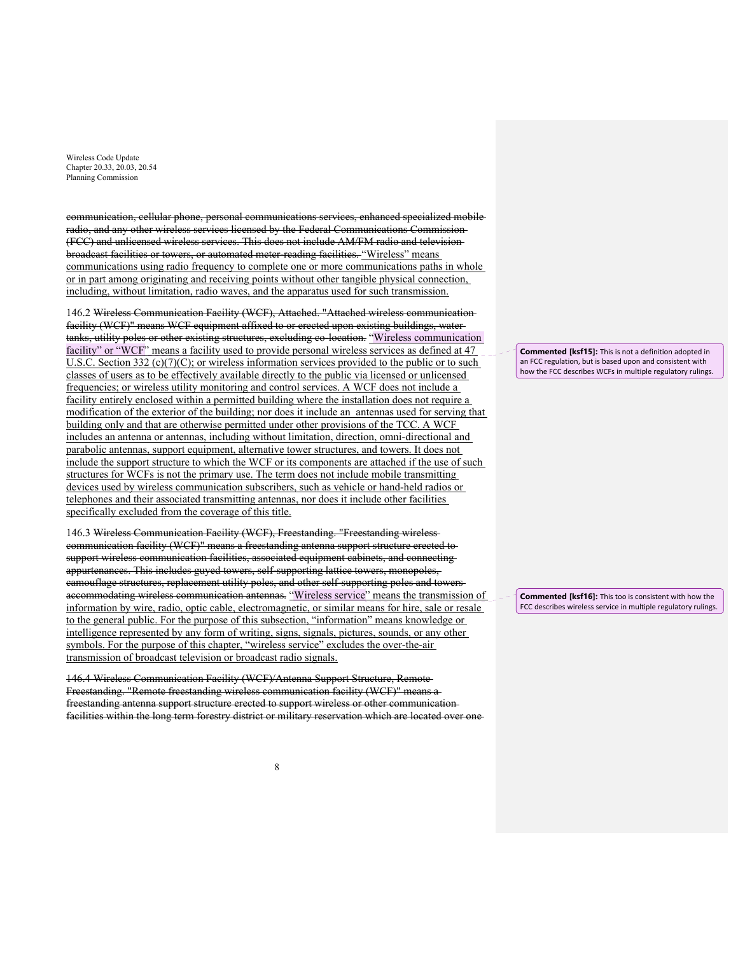communication, cellular phone, personal communications services, enhanced specialized mobile radio, and any other wireless services licensed by the Federal Communications Commission (FCC) and unlicensed wireless services. This does not include AM/FM radio and television broadcast facilities or towers, or automated meter-reading facilities. "Wireless" means communications using radio frequency to complete one or more communications paths in whole or in part among originating and receiving points without other tangible physical connection, including, without limitation, radio waves, and the apparatus used for such transmission.

146.2 Wireless Communication Facility (WCF), Attached. "Attached wireless communication facility (WCF)" means WCF equipment affixed to or erected upon existing buildings, water tanks, utility poles or other existing structures, excluding co-location. "Wireless communication facility" or "WCF" means a facility used to provide personal wireless services as defined at 47 U.S.C. Section 332 (c)(7)(C); or wireless information services provided to the public or to such classes of users as to be effectively available directly to the public via licensed or unlicensed frequencies; or wireless utility monitoring and control services. A WCF does not include a facility entirely enclosed within a permitted building where the installation does not require a modification of the exterior of the building; nor does it include an antennas used for serving that building only and that are otherwise permitted under other provisions of the TCC. A WCF includes an antenna or antennas, including without limitation, direction, omni-directional and parabolic antennas, support equipment, alternative tower structures, and towers. It does not include the support structure to which the WCF or its components are attached if the use of such structures for WCFs is not the primary use. The term does not include mobile transmitting devices used by wireless communication subscribers, such as vehicle or hand-held radios or telephones and their associated transmitting antennas, nor does it include other facilities specifically excluded from the coverage of this title.

146.3 Wireless Communication Facility (WCF), Freestanding. "Freestanding wireless communication facility (WCF)" means a freestanding antenna support structure erected to support wireless communication facilities, associated equipment cabinets, and connecting appurtenances. This includes guyed towers, self-supporting lattice towers, monopoles, camouflage structures, replacement utility poles, and other self-supporting poles and towers accommodating wireless communication antennas. "Wireless service" means the transmission of information by wire, radio, optic cable, electromagnetic, or similar means for hire, sale or resale to the general public. For the purpose of this subsection, "information" means knowledge or intelligence represented by any form of writing, signs, signals, pictures, sounds, or any other symbols. For the purpose of this chapter, "wireless service" excludes the over-the-air transmission of broadcast television or broadcast radio signals.

146.4 Wireless Communication Facility (WCF)/Antenna Support Structure, Remote Freestanding. "Remote freestanding wireless communication facility (WCF)" means a freestanding antenna support structure erected to support wireless or other communication facilities within the long term forestry district or military reservation which are located over one

**Commented [ksf15]:** This is not a definition adopted in an FCC regulation, but is based upon and consistent with how the FCC describes WCFs in multiple regulatory rulings.

**Commented [ksf16]:** This too is consistent with how the FCC describes wireless service in multiple regulatory rulings.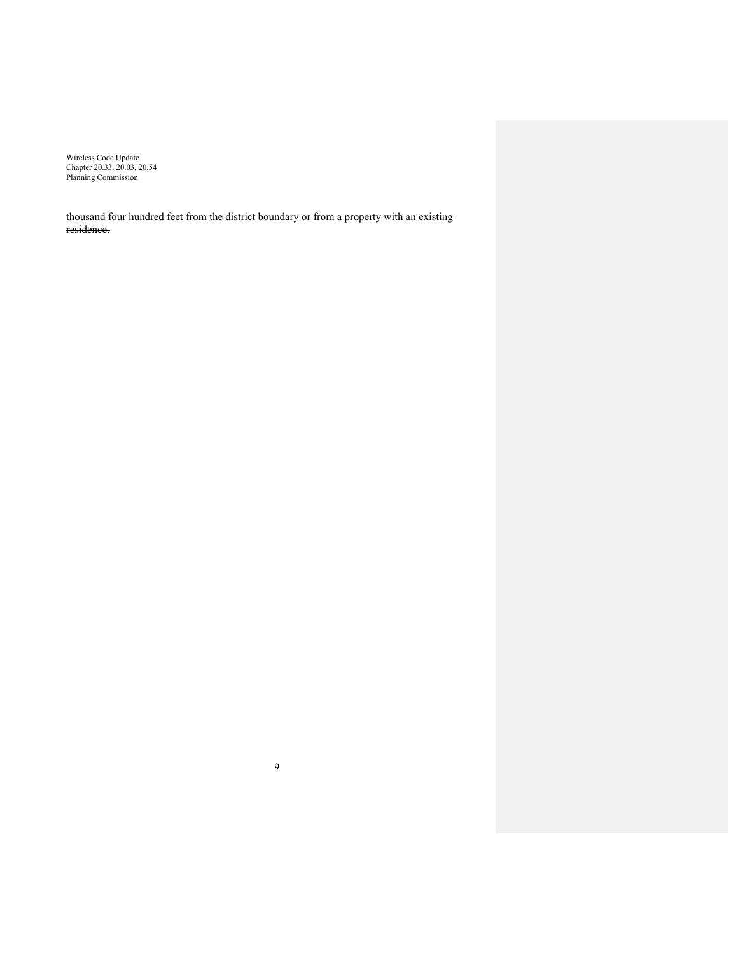thousand four hundred feet from the district boundary or from a property with an existing residence.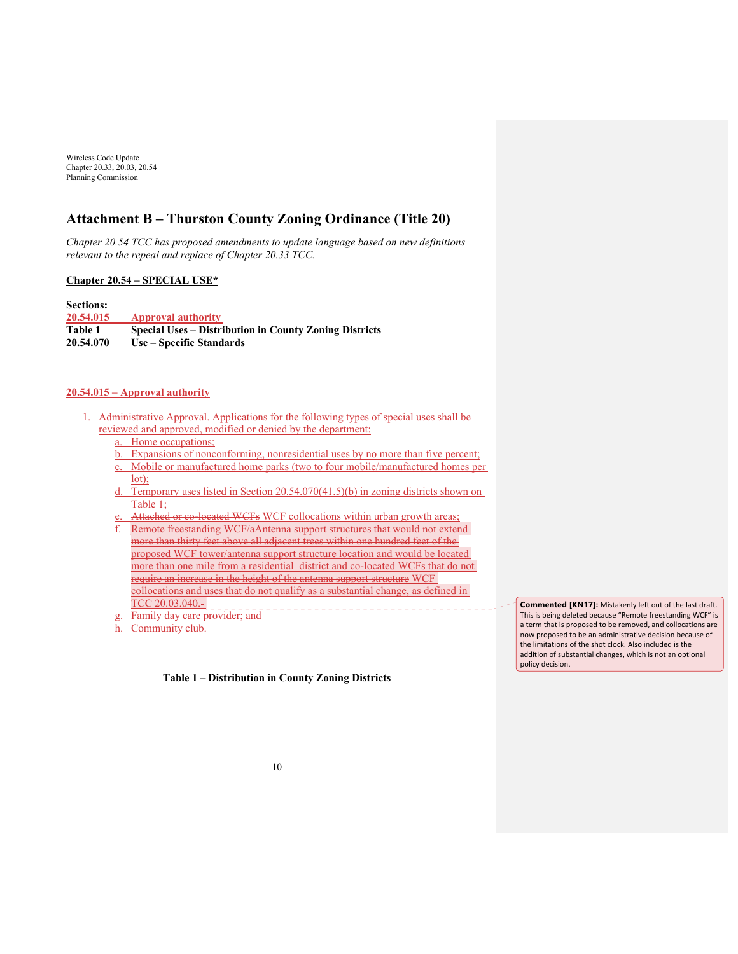# **Attachment B – Thurston County Zoning Ordinance (Title 20)**

*Chapter 20.54 TCC has proposed amendments to update language based on new definitions relevant to the repeal and replace of Chapter 20.33 TCC.*

#### **Chapter 20.54 – SPECIAL USE\***

**Sections: 20.54.015 Approval authority Table 1 Special Uses – Distribution in County Zoning Districts 20.54.070 Use – Specific Standards** 

# **20.54.015 – Approval authority**

- Administrative Approval. Applications for the following types of special uses shall be reviewed and approved, modified or denied by the department:
	- a. Home occupations;
	- b. Expansions of nonconforming, nonresidential uses by no more than five percent;
	- c. Mobile or manufactured home parks (two to four mobile/manufactured homes per lot);
	- d. Temporary uses listed in Section 20.54.070(41.5)(b) in zoning districts shown on Table 1;
	- Attached or co-located WCFs WCF collocations within urban growth areas; Remote freestanding WCF/aAntenna support structures that would not extendmore than thirty feet above all adjacent trees within one hundred feet of the proposed WCF tower/antenna support structure location and would be located more than one mile from a residential district and co-located WCFs that do not require an increase in the height of the antenna support structure WCF
		- collocations and uses that do not qualify as a substantial change, as defined in TCC 20.03.040.-
	- Family day care provider; and
	- h. Community club.

**Table 1 – Distribution in County Zoning Districts** 

**Commented [KN17]:** Mistakenly left out of the last draft. This is being deleted because "Remote freestanding WCF" is a term that is proposed to be removed, and collocations are now proposed to be an administrative decision because of the limitations of the shot clock. Also included is the addition of substantial changes, which is not an optional policy decision.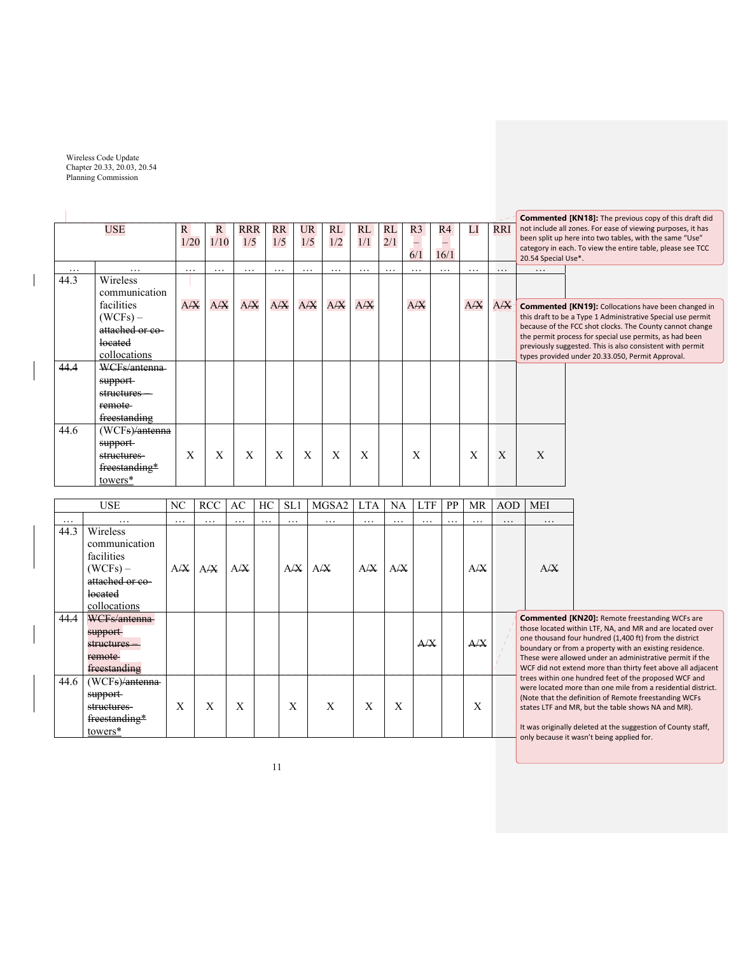$\overline{\phantom{a}}$ 

|          | <b>USE</b>                       | $\mathbf{R}$<br>1/20 | R<br>1/10 | <b>RRR</b><br>1/5 | <b>RR</b><br>1/5 | <b>UR</b><br>1/5 | RL<br>1/2 | RL<br>1/1 | RL<br>2/1 | R <sub>3</sub><br>6/1 | R4<br>16/1 | LI       | <b>RRI</b> | 20.54 Special Use*. | <b>Commented [KN18]:</b> The previous copy of this draft did<br>not include all zones. For ease of viewing purposes, it has<br>been split up here into two tables, with the same "Use"<br>category in each. To view the entire table, please see TCC |  |  |
|----------|----------------------------------|----------------------|-----------|-------------------|------------------|------------------|-----------|-----------|-----------|-----------------------|------------|----------|------------|---------------------|------------------------------------------------------------------------------------------------------------------------------------------------------------------------------------------------------------------------------------------------------|--|--|
| $\cdots$ | $\cdots$                         | $\cdots$             | $\cdots$  | $\cdots$          | $\cdots$         | $\cdots$         | $\cdots$  | $\cdots$  | $\cdots$  | $\cdots$              | $\cdots$   | $\cdots$ | $\cdots$   | $\cdots$            |                                                                                                                                                                                                                                                      |  |  |
| 44.3     | <b>Wireless</b><br>communication |                      |           |                   |                  |                  |           |           |           |                       |            |          |            |                     |                                                                                                                                                                                                                                                      |  |  |
|          | facilities                       | A/X                  | A/X       | A/X               | A/X              | $A/\overline{X}$ | A/X       | A/X       |           | A/X                   |            | A/X      | A/X        |                     | <b>Commented [KN19]:</b> Collocations have been changed in                                                                                                                                                                                           |  |  |
|          | $(WCFs) -$                       |                      |           |                   |                  |                  |           |           |           |                       |            |          |            |                     | this draft to be a Type 1 Administrative Special use permit                                                                                                                                                                                          |  |  |
|          | attached or co-                  |                      |           |                   |                  |                  |           |           |           |                       |            |          |            |                     | because of the FCC shot clocks. The County cannot change<br>the permit process for special use permits, as had been                                                                                                                                  |  |  |
|          | located                          |                      |           |                   |                  |                  |           |           |           |                       |            |          |            |                     | previously suggested. This is also consistent with permit                                                                                                                                                                                            |  |  |
|          | collocations                     |                      |           |                   |                  |                  |           |           |           |                       |            |          |            |                     | types provided under 20.33.050, Permit Approval.                                                                                                                                                                                                     |  |  |
| 44.4     | WCFs/antenna                     |                      |           |                   |                  |                  |           |           |           |                       |            |          |            |                     |                                                                                                                                                                                                                                                      |  |  |
|          | support                          |                      |           |                   |                  |                  |           |           |           |                       |            |          |            |                     |                                                                                                                                                                                                                                                      |  |  |
|          | structures-                      |                      |           |                   |                  |                  |           |           |           |                       |            |          |            |                     |                                                                                                                                                                                                                                                      |  |  |
|          | remote                           |                      |           |                   |                  |                  |           |           |           |                       |            |          |            |                     |                                                                                                                                                                                                                                                      |  |  |
|          | freestanding                     |                      |           |                   |                  |                  |           |           |           |                       |            |          |            |                     |                                                                                                                                                                                                                                                      |  |  |
| 44.6     | (WCFs) <del>/antenna</del>       |                      |           |                   |                  |                  |           |           |           |                       |            |          |            |                     |                                                                                                                                                                                                                                                      |  |  |
|          | support                          |                      |           |                   |                  |                  |           |           |           |                       |            |          |            |                     |                                                                                                                                                                                                                                                      |  |  |
|          | structures-                      | X                    | X         | $\mathbf{X}$      | X                | X                | X         | X         |           | X                     |            | X        | X          | X                   |                                                                                                                                                                                                                                                      |  |  |
|          | freestanding*                    |                      |           |                   |                  |                  |           |           |           |                       |            |          |            |                     |                                                                                                                                                                                                                                                      |  |  |
|          | towers*                          |                      |           |                   |                  |                  |           |           |           |                       |            |          |            |                     |                                                                                                                                                                                                                                                      |  |  |

|          | <b>USE</b>                                                                                          |          | <b>RCC</b> | AC       | HC       | SL1      | MGSA2    | <b>LTA</b> | NA       | <b>LTF</b> | <b>PP</b> | MR  | <b>AOD</b> | <b>MEI</b>                                                                                                                                         |  |
|----------|-----------------------------------------------------------------------------------------------------|----------|------------|----------|----------|----------|----------|------------|----------|------------|-----------|-----|------------|----------------------------------------------------------------------------------------------------------------------------------------------------|--|
| $\cdots$ | $\cdots$                                                                                            | $\cdots$ | .          | $\cdots$ | $\cdots$ | $\cdots$ | $\cdots$ | $\cdots$   | $\cdots$ | $\cdots$   | $\cdots$  | .   | $\cdots$   | $\cdots$                                                                                                                                           |  |
| 44.3     | Wireless<br>communication<br>facilities<br>$(WCFs)$ –<br>attached or co-<br>located<br>collocations | A/X      | A/X        | A/X      |          | A/X      | A/X      | A/X        | A/X      |            |           | A/X |            | A/X                                                                                                                                                |  |
| 44.4     | WCFs/antenna<br><del>support-</del><br>structures<br>remote<br>freestanding                         |          |            |          |          |          |          |            |          | A/X        |           | A/X |            | <b>Commented [KN2</b><br>those located within<br>one thousand four hi<br>boundary or from a p<br>These were allowed u<br>WCF did not extend r      |  |
| 44.6     | $(WCFs)/$ antenna<br>support<br><del>structures-</del><br>freestanding*<br>towers*                  | X        | X          | X        |          | X        | X        | X          | X        |            |           | X   |            | trees within one hun<br>were located more th<br>(Note that the definit<br>states LTF and MR, b<br>It was originally delet<br>only hecause it wasni |  |

**Commented [KN20]:** Remote freestanding WCFs are those located within LTF, NA, and MR and are located over one thousand four hundred (1,400 ft) from the district boundary or from a property with an existing residence.  $\frac{1}{10}$  an administrative permit if the more than thirty feet above all adjacent dred feet of the proposed WCF and han one mile from a residential district. (Note that the definition of Remote freestanding WCFs states LTF and MR, but the table shows NA and MR).

It was originally deleted at the suggestion of County staff, only because it wasn't being applied for.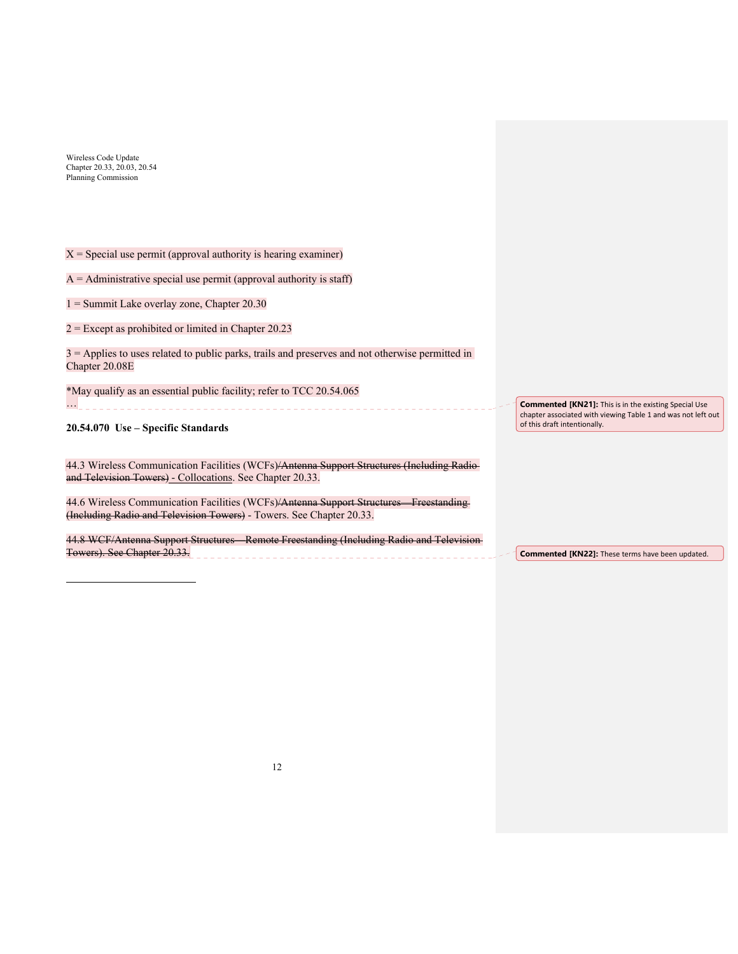$\overline{a}$ 

| $X =$ Special use permit (approval authority is hearing examiner)                                                                                             |                                                                                                                                                              |
|---------------------------------------------------------------------------------------------------------------------------------------------------------------|--------------------------------------------------------------------------------------------------------------------------------------------------------------|
| $A =$ Administrative special use permit (approval authority is staff)                                                                                         |                                                                                                                                                              |
| $1 =$ Summit Lake overlay zone, Chapter 20.30                                                                                                                 |                                                                                                                                                              |
| $2$ = Except as prohibited or limited in Chapter 20.23                                                                                                        |                                                                                                                                                              |
| $3 =$ Applies to uses related to public parks, trails and preserves and not otherwise permitted in<br>Chapter 20.08E                                          |                                                                                                                                                              |
| *May qualify as an essential public facility; refer to TCC 20.54.065                                                                                          |                                                                                                                                                              |
| 20.54.070 Use – Specific Standards                                                                                                                            | <b>Commented [KN21]:</b> This is in the existing Special Use<br>chapter associated with viewing Table 1 and was not left out<br>of this draft intentionally. |
|                                                                                                                                                               |                                                                                                                                                              |
| 44.3 Wireless Communication Facilities (WCFs)/Antenna Support Structures (Including Radio-<br>and Television Towers) - Collocations. See Chapter 20.33.       |                                                                                                                                                              |
| 44.6 Wireless Communication Facilities (WCFs)/Antenna Support Structures Freestanding<br>(Including Radio and Television Towers) - Towers. See Chapter 20.33. |                                                                                                                                                              |
| 44.8 WCF/Antenna Support Structures Remote Freestanding (Including Radio and Television-                                                                      |                                                                                                                                                              |
| Towers). See Chapter 20.33.                                                                                                                                   | Commented [KN22]: These terms have been updated.                                                                                                             |

12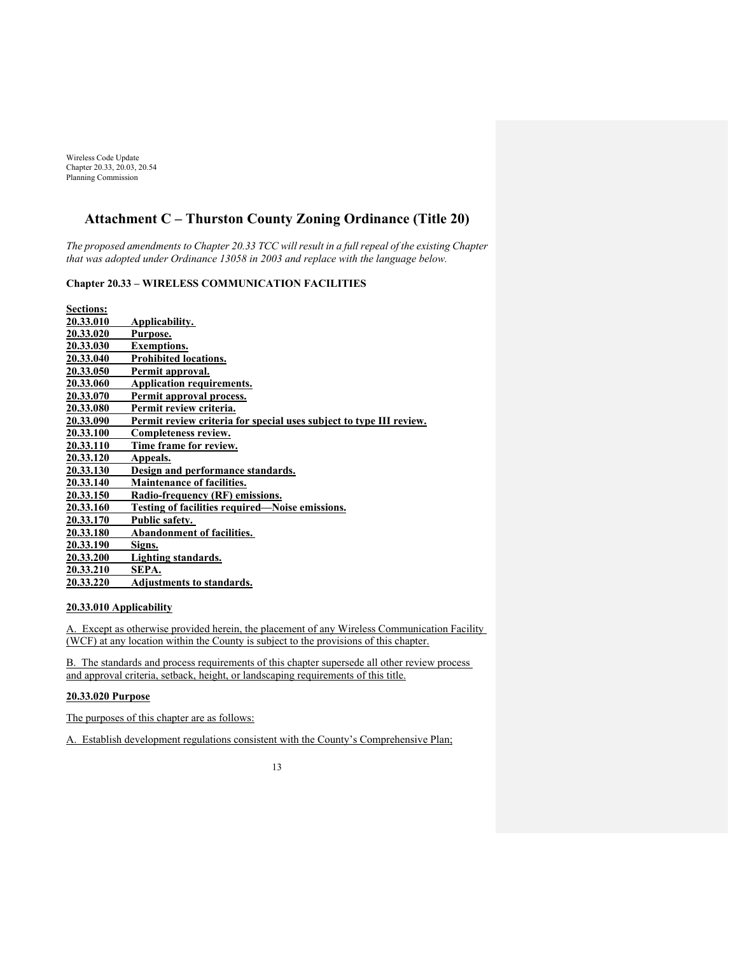# **Attachment C – Thurston County Zoning Ordinance (Title 20)**

*The proposed amendments to Chapter 20.33 TCC will result in a full repeal of the existing Chapter that was adopted under Ordinance 13058 in 2003 and replace with the language below.* 

# **Chapter 20.33 – WIRELESS COMMUNICATION FACILITIES**

| <b>Sections:</b> |                                                                     |
|------------------|---------------------------------------------------------------------|
| 20.33.010        | Applicability.                                                      |
| 20.33.020        | Purpose.                                                            |
| <b>20.33.030</b> | <b>Exemptions.</b>                                                  |
| 20.33.040        | <b>Prohibited locations.</b>                                        |
| <b>20.33.050</b> | Permit approval.                                                    |
| 20.33.060        | <b>Application requirements.</b>                                    |
| 20.33.070        | Permit approval process.                                            |
| 20.33.080        | Permit review criteria.                                             |
| 20.33.090        | Permit review criteria for special uses subject to type III review. |
| <b>20.33.100</b> | Completeness review.                                                |
| <b>20.33.110</b> | Time frame for review.                                              |
| 20.33.120        | Appeals.                                                            |
| 20.33.130        | Design and performance standards.                                   |
| 20.33.140        | <b>Maintenance of facilities.</b>                                   |
| 20.33.150        | Radio-frequency (RF) emissions.                                     |
| 20.33.160        | Testing of facilities required—Noise emissions.                     |
| 20.33.170        | Public safety.                                                      |
| 20.33.180        | <b>Abandonment of facilities.</b>                                   |
| <b>20.33.190</b> | Signs.                                                              |
| 20.33.200        | Lighting standards.                                                 |
| 20.33.210        | SEPA.                                                               |
| 20.33.220        | <b>Adjustments to standards.</b>                                    |

### **20.33.010 Applicability**

A. Except as otherwise provided herein, the placement of any Wireless Communication Facility (WCF) at any location within the County is subject to the provisions of this chapter.

B. The standards and process requirements of this chapter supersede all other review process and approval criteria, setback, height, or landscaping requirements of this title.

# **20.33.020 Purpose**

The purposes of this chapter are as follows:

A. Establish development regulations consistent with the County's Comprehensive Plan;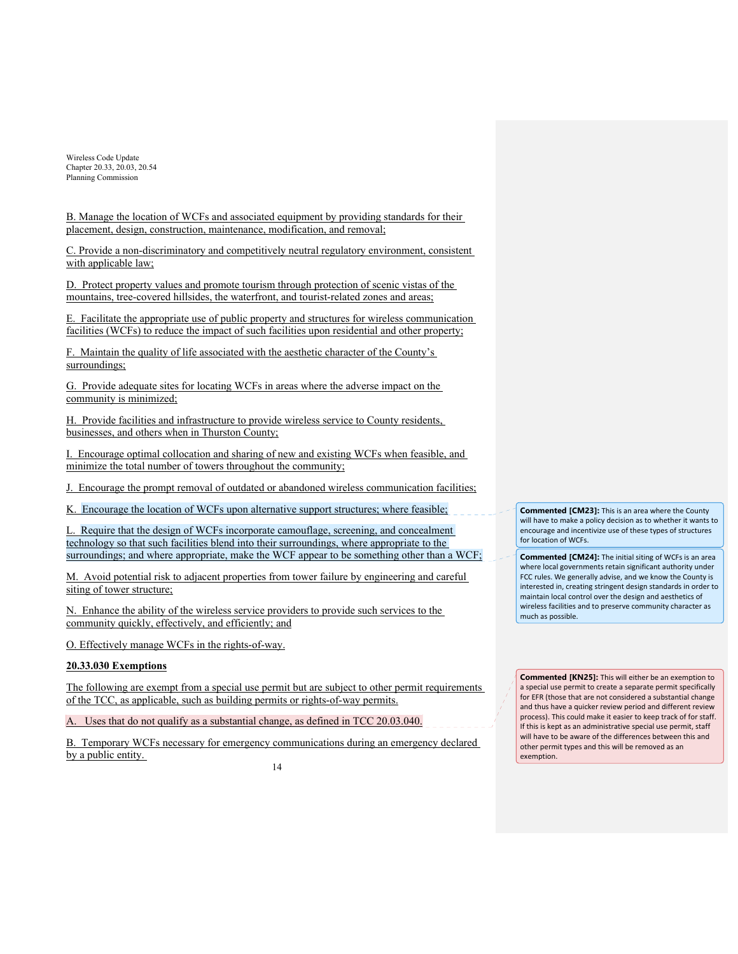B. Manage the location of WCFs and associated equipment by providing standards for their placement, design, construction, maintenance, modification, and removal;

C. Provide a non-discriminatory and competitively neutral regulatory environment, consistent with applicable law;

D. Protect property values and promote tourism through protection of scenic vistas of the mountains, tree-covered hillsides, the waterfront, and tourist-related zones and areas;

E. Facilitate the appropriate use of public property and structures for wireless communication facilities (WCFs) to reduce the impact of such facilities upon residential and other property;

F. Maintain the quality of life associated with the aesthetic character of the County's surroundings;

G. Provide adequate sites for locating WCFs in areas where the adverse impact on the community is minimized;

H. Provide facilities and infrastructure to provide wireless service to County residents, businesses, and others when in Thurston County;

I. Encourage optimal collocation and sharing of new and existing WCFs when feasible, and minimize the total number of towers throughout the community;

J. Encourage the prompt removal of outdated or abandoned wireless communication facilities;

K. Encourage the location of WCFs upon alternative support structures; where feasible;

L. Require that the design of WCFs incorporate camouflage, screening, and concealment technology so that such facilities blend into their surroundings, where appropriate to the surroundings; and where appropriate, make the WCF appear to be something other than a WCF;

M. Avoid potential risk to adjacent properties from tower failure by engineering and careful siting of tower structure;

N. Enhance the ability of the wireless service providers to provide such services to the community quickly, effectively, and efficiently; and

O. Effectively manage WCFs in the rights-of-way.

## **20.33.030 Exemptions**

The following are exempt from a special use permit but are subject to other permit requirements of the TCC, as applicable, such as building permits or rights-of-way permits.

A. Uses that do not qualify as a substantial change, as defined in TCC 20.03.040.

B. Temporary WCFs necessary for emergency communications during an emergency declared by a public entity.

**Commented [CM23]:** This is an area where the County will have to make a policy decision as to whether it wants to encourage and incentivize use of these types of structures for location of WCFs.

**Commented [CM24]:** The initial siting of WCFs is an area where local governments retain significant authority under FCC rules. We generally advise, and we know the County is interested in, creating stringent design standards in order to maintain local control over the design and aesthetics of wireless facilities and to preserve community character as much as possible.

**Commented [KN25]:** This will either be an exemption to a special use permit to create a separate permit specifically for EFR (those that are not considered a substantial change and thus have a quicker review period and different review process). This could make it easier to keep track of for staff. If this is kept as an administrative special use permit, staff will have to be aware of the differences between this and other permit types and this will be removed as an exemption.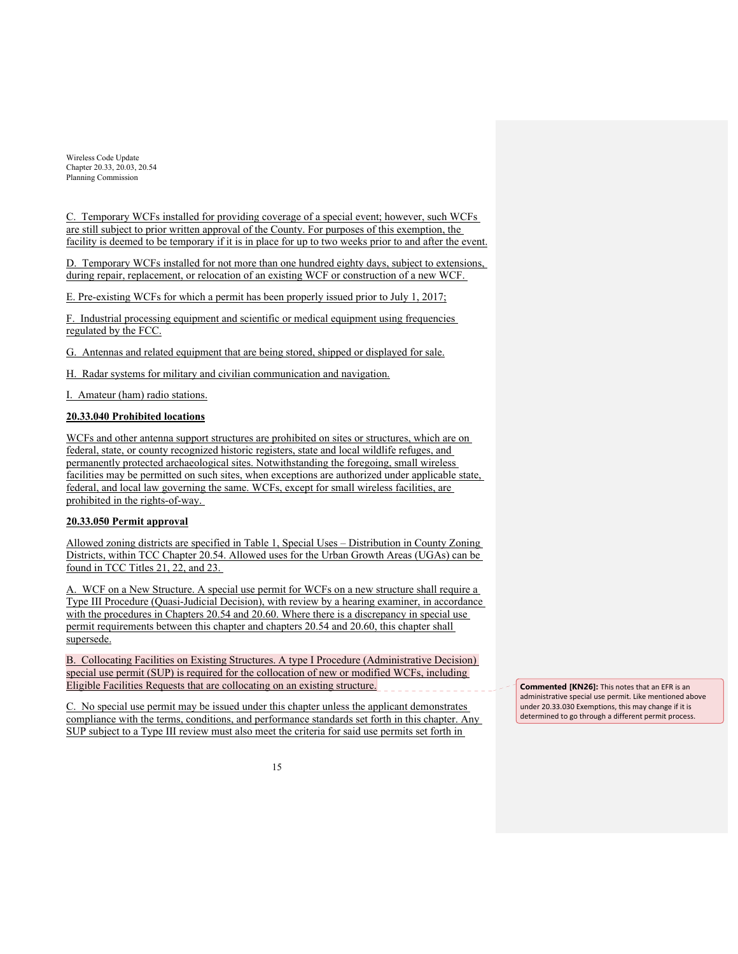C. Temporary WCFs installed for providing coverage of a special event; however, such WCFs are still subject to prior written approval of the County. For purposes of this exemption, the facility is deemed to be temporary if it is in place for up to two weeks prior to and after the event.

D. Temporary WCFs installed for not more than one hundred eighty days, subject to extensions, during repair, replacement, or relocation of an existing WCF or construction of a new WCF.

E. Pre-existing WCFs for which a permit has been properly issued prior to July 1, 2017;

F. Industrial processing equipment and scientific or medical equipment using frequencies regulated by the FCC.

G. Antennas and related equipment that are being stored, shipped or displayed for sale.

H. Radar systems for military and civilian communication and navigation.

I. Amateur (ham) radio stations.

# **20.33.040 Prohibited locations**

WCFs and other antenna support structures are prohibited on sites or structures, which are on federal, state, or county recognized historic registers, state and local wildlife refuges, and permanently protected archaeological sites. Notwithstanding the foregoing, small wireless facilities may be permitted on such sites, when exceptions are authorized under applicable state, federal, and local law governing the same. WCFs, except for small wireless facilities, are prohibited in the rights-of-way.

### **20.33.050 Permit approval**

Allowed zoning districts are specified in Table 1, Special Uses – Distribution in County Zoning Districts, within TCC Chapter 20.54. Allowed uses for the Urban Growth Areas (UGAs) can be found in TCC Titles 21, 22, and 23.

A. WCF on a New Structure. A special use permit for WCFs on a new structure shall require a Type III Procedure (Quasi-Judicial Decision), with review by a hearing examiner, in accordance with the procedures in Chapters 20.54 and 20.60. Where there is a discrepancy in special use permit requirements between this chapter and chapters 20.54 and 20.60, this chapter shall supersede.

B. Collocating Facilities on Existing Structures. A type I Procedure (Administrative Decision) special use permit (SUP) is required for the collocation of new or modified WCFs, including Eligible Facilities Requests that are collocating on an existing structure.

C. No special use permit may be issued under this chapter unless the applicant demonstrates compliance with the terms, conditions, and performance standards set forth in this chapter. Any SUP subject to a Type III review must also meet the criteria for said use permits set forth in

**Commented [KN26]:** This notes that an EFR is an administrative special use permit. Like mentioned above under 20.33.030 Exemptions, this may change if it is determined to go through a different permit process.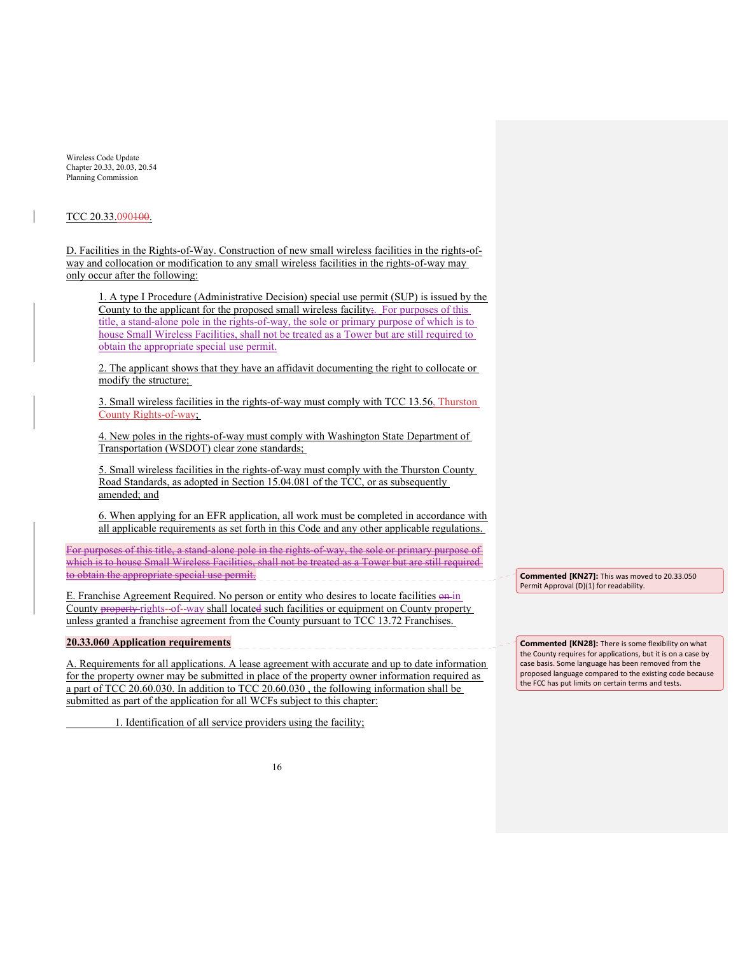#### TCC 20.33.090100.

D. Facilities in the Rights-of-Way. Construction of new small wireless facilities in the rights-ofway and collocation or modification to any small wireless facilities in the rights-of-way may only occur after the following:

1. A type I Procedure (Administrative Decision) special use permit (SUP) is issued by the County to the applicant for the proposed small wireless facility;. For purposes of this title, a stand-alone pole in the rights-of-way, the sole or primary purpose of which is to house Small Wireless Facilities, shall not be treated as a Tower but are still required to obtain the appropriate special use permit.

2. The applicant shows that they have an affidavit documenting the right to collocate or modify the structure;

3. Small wireless facilities in the rights-of-way must comply with TCC 13.56, Thurston County Rights-of-way;

4. New poles in the rights-of-way must comply with Washington State Department of Transportation (WSDOT) clear zone standards;

5. Small wireless facilities in the rights-of-way must comply with the Thurston County Road Standards, as adopted in Section 15.04.081 of the TCC, or as subsequently amended; and

6. When applying for an EFR application, all work must be completed in accordance with all applicable requirements as set forth in this Code and any other applicable regulations.

For purposes of this title, a stand-alone pole in the rights-of-way, the sole or primary purpose of which is to house Small Wireless Facilities, shall not be treated as a Tower but are still required to obtain the appropriate special use permit.

E. Franchise Agreement Required. No person or entity who desires to locate facilities on in County property rights-of--way shall located such facilities or equipment on County property unless granted a franchise agreement from the County pursuant to TCC 13.72 Franchises.

#### **20.33.060 Application requirements**

A. Requirements for all applications. A lease agreement with accurate and up to date information for the property owner may be submitted in place of the property owner information required as a part of TCC 20.60.030. In addition to TCC 20.60.030 , the following information shall be submitted as part of the application for all WCFs subject to this chapter:

1. Identification of all service providers using the facility;

**Commented [KN27]:** This was moved to 20.33.050 Permit Approval (D)(1) for readability.

**Commented [KN28]:** There is some flexibility on what the County requires for applications, but it is on a case by case basis. Some language has been removed from the proposed language compared to the existing code because the FCC has put limits on certain terms and tests.

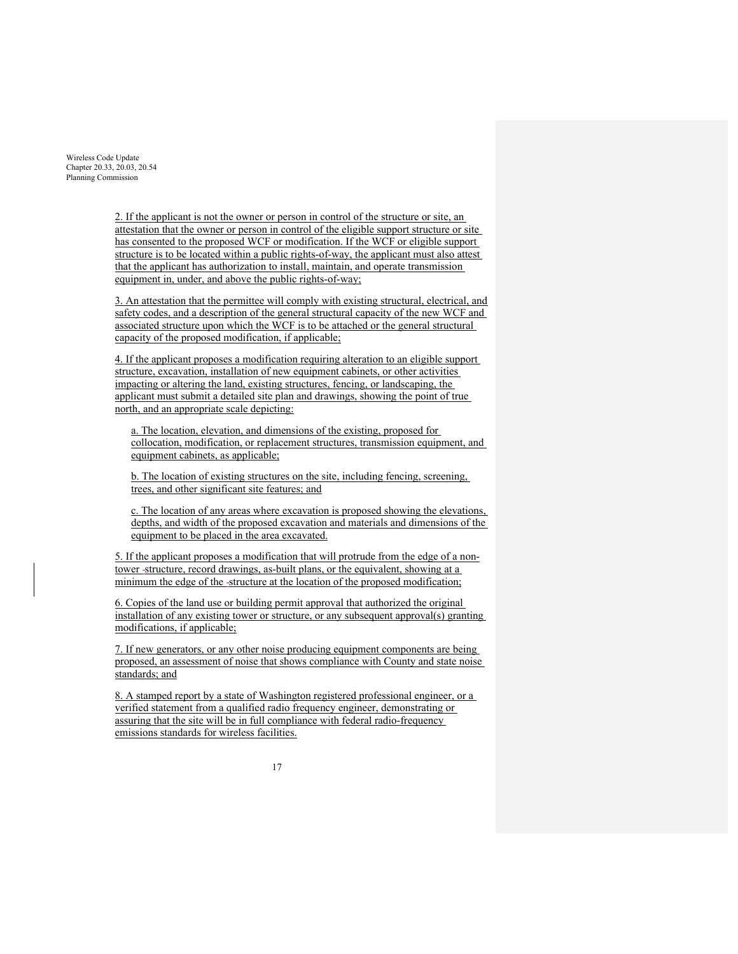> 2. If the applicant is not the owner or person in control of the structure or site, an attestation that the owner or person in control of the eligible support structure or site has consented to the proposed WCF or modification. If the WCF or eligible support structure is to be located within a public rights-of-way, the applicant must also attest that the applicant has authorization to install, maintain, and operate transmission equipment in, under, and above the public rights-of-way;

3. An attestation that the permittee will comply with existing structural, electrical, and safety codes, and a description of the general structural capacity of the new WCF and associated structure upon which the WCF is to be attached or the general structural capacity of the proposed modification, if applicable;

4. If the applicant proposes a modification requiring alteration to an eligible support structure, excavation, installation of new equipment cabinets, or other activities impacting or altering the land, existing structures, fencing, or landscaping, the applicant must submit a detailed site plan and drawings, showing the point of true north, and an appropriate scale depicting:

a. The location, elevation, and dimensions of the existing, proposed for collocation, modification, or replacement structures, transmission equipment, and equipment cabinets, as applicable;

b. The location of existing structures on the site, including fencing, screening, trees, and other significant site features; and

c. The location of any areas where excavation is proposed showing the elevations, depths, and width of the proposed excavation and materials and dimensions of the equipment to be placed in the area excavated.

5. If the applicant proposes a modification that will protrude from the edge of a nontower -structure, record drawings, as-built plans, or the equivalent, showing at a minimum the edge of the structure at the location of the proposed modification;

6. Copies of the land use or building permit approval that authorized the original installation of any existing tower or structure, or any subsequent approval(s) granting modifications, if applicable;

7. If new generators, or any other noise producing equipment components are being proposed, an assessment of noise that shows compliance with County and state noise standards; and

8. A stamped report by a state of Washington registered professional engineer, or a verified statement from a qualified radio frequency engineer, demonstrating or assuring that the site will be in full compliance with federal radio-frequency emissions standards for wireless facilities.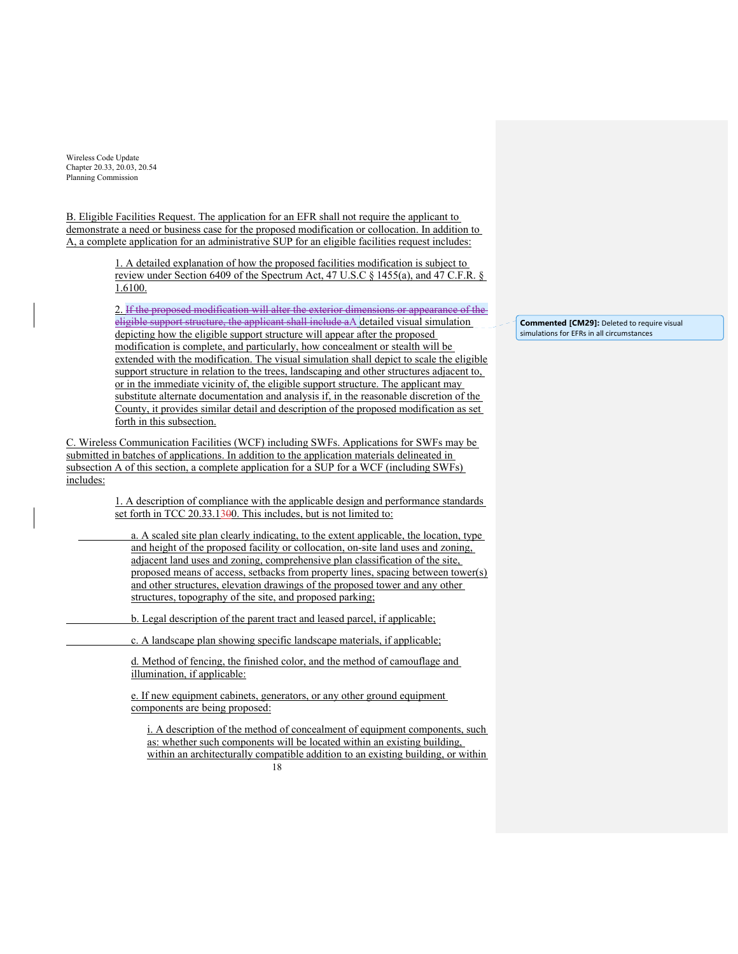B. Eligible Facilities Request. The application for an EFR shall not require the applicant to demonstrate a need or business case for the proposed modification or collocation. In addition to A, a complete application for an administrative SUP for an eligible facilities request includes:

> 1. A detailed explanation of how the proposed facilities modification is subject to review under Section 6409 of the Spectrum Act, 47 U.S.C § 1455(a), and 47 C.F.R. § 1.6100.

> 2. If the proposed modification will alter the exterior dimensions or appearance of the eligible support structure, the applicant shall include aA detailed visual simulation depicting how the eligible support structure will appear after the proposed modification is complete, and particularly, how concealment or stealth will be extended with the modification. The visual simulation shall depict to scale the eligible support structure in relation to the trees, landscaping and other structures adjacent to, or in the immediate vicinity of, the eligible support structure. The applicant may substitute alternate documentation and analysis if, in the reasonable discretion of the County, it provides similar detail and description of the proposed modification as set forth in this subsection.

C. Wireless Communication Facilities (WCF) including SWFs. Applications for SWFs may be submitted in batches of applications. In addition to the application materials delineated in subsection A of this section, a complete application for a SUP for a WCF (including SWFs) includes:

> 1. A description of compliance with the applicable design and performance standards set forth in TCC 20.33.1300. This includes, but is not limited to:

 a. A scaled site plan clearly indicating, to the extent applicable, the location, type and height of the proposed facility or collocation, on-site land uses and zoning, adjacent land uses and zoning, comprehensive plan classification of the site, proposed means of access, setbacks from property lines, spacing between tower(s) and other structures, elevation drawings of the proposed tower and any other structures, topography of the site, and proposed parking;

b. Legal description of the parent tract and leased parcel, if applicable;

c. A landscape plan showing specific landscape materials, if applicable;

d. Method of fencing, the finished color, and the method of camouflage and illumination, if applicable:

e. If new equipment cabinets, generators, or any other ground equipment components are being proposed:

18 i. A description of the method of concealment of equipment components, such as: whether such components will be located within an existing building, within an architecturally compatible addition to an existing building, or within

**Commented [CM29]:** Deleted to require visual simulations for EFRs in all circumstances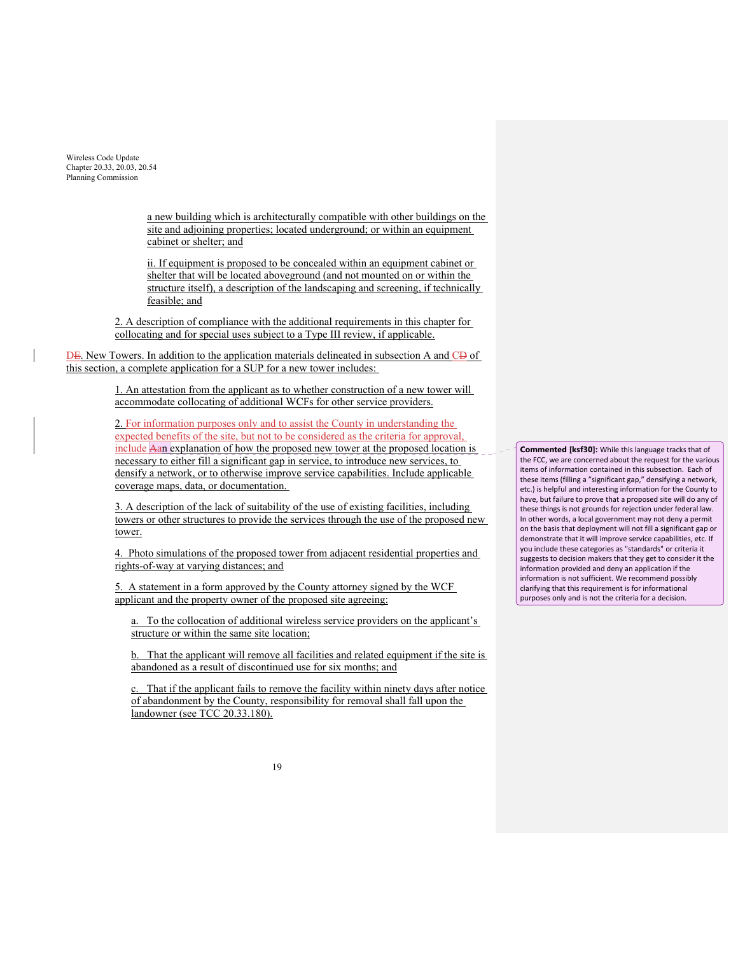> a new building which is architecturally compatible with other buildings on the site and adjoining properties; located underground; or within an equipment cabinet or shelter; and

ii. If equipment is proposed to be concealed within an equipment cabinet or shelter that will be located aboveground (and not mounted on or within the structure itself), a description of the landscaping and screening, if technically feasible; and

2. A description of compliance with the additional requirements in this chapter for collocating and for special uses subject to a Type III review, if applicable.

DE. New Towers. In addition to the application materials delineated in subsection A and CD of this section, a complete application for a SUP for a new tower includes:

> 1. An attestation from the applicant as to whether construction of a new tower will accommodate collocating of additional WCFs for other service providers.

2. For information purposes only and to assist the County in understanding the expected benefits of the site, but not to be considered as the criteria for approval, include Aan explanation of how the proposed new tower at the proposed location is necessary to either fill a significant gap in service, to introduce new services, to densify a network, or to otherwise improve service capabilities. Include applicable coverage maps, data, or documentation.

3. A description of the lack of suitability of the use of existing facilities, including towers or other structures to provide the services through the use of the proposed new tower.

4. Photo simulations of the proposed tower from adjacent residential properties and rights-of-way at varying distances; and

5. A statement in a form approved by the County attorney signed by the WCF applicant and the property owner of the proposed site agreeing:

a. To the collocation of additional wireless service providers on the applicant's structure or within the same site location;

b. That the applicant will remove all facilities and related equipment if the site is abandoned as a result of discontinued use for six months; and

c. That if the applicant fails to remove the facility within ninety days after notice of abandonment by the County, responsibility for removal shall fall upon the landowner (see TCC 20.33.180).

**Commented [ksf30]:** While this language tracks that of the FCC, we are concerned about the request for the various items of information contained in this subsection. Each of these items (filling a "significant gap," densifying a network, etc.) is helpful and interesting information for the County to have, but failure to prove that a proposed site will do any of these things is not grounds for rejection under federal law. In other words, a local government may not deny a permit on the basis that deployment will not fill a significant gap or demonstrate that it will improve service capabilities, etc. If you include these categories as "standards" or criteria it suggests to decision makers that they get to consider it the information provided and deny an application if the information is not sufficient. We recommend possibly clarifying that this requirement is for informational purposes only and is not the criteria for a decision.

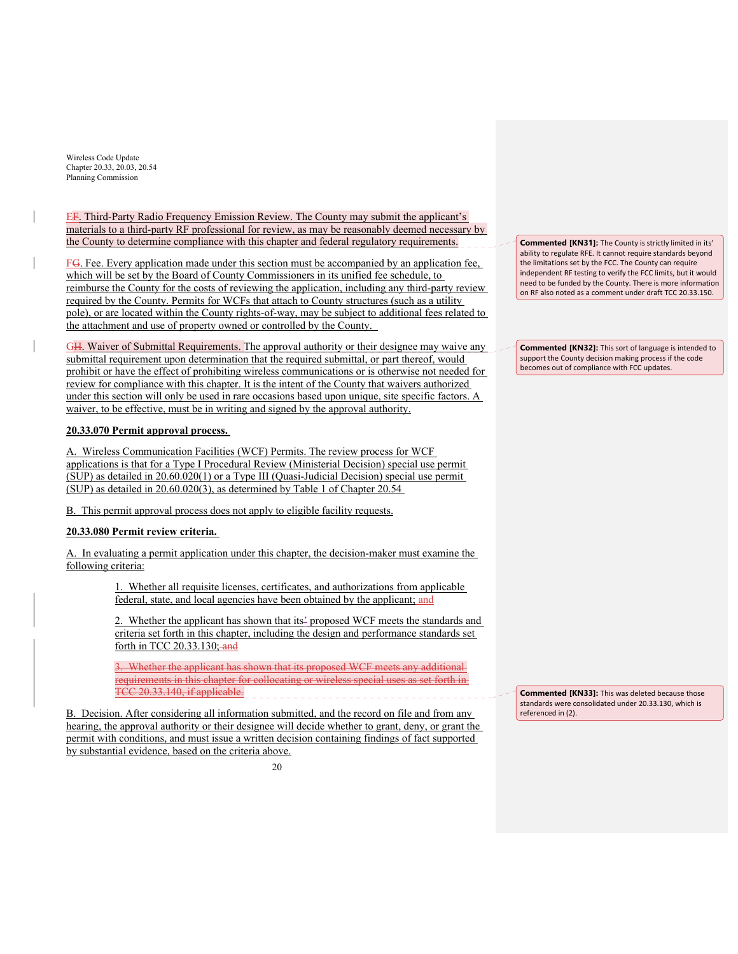EF. Third-Party Radio Frequency Emission Review. The County may submit the applicant's materials to a third-party RF professional for review, as may be reasonably deemed necessary by the County to determine compliance with this chapter and federal regulatory requirements.

 $FG$ . Fee. Every application made under this section must be accompanied by an application fee, which will be set by the Board of County Commissioners in its unified fee schedule, to reimburse the County for the costs of reviewing the application, including any third-party review required by the County. Permits for WCFs that attach to County structures (such as a utility pole), or are located within the County rights-of-way, may be subject to additional fees related to the attachment and use of property owned or controlled by the County.

GH. Waiver of Submittal Requirements. The approval authority or their designee may waive any submittal requirement upon determination that the required submittal, or part thereof, would prohibit or have the effect of prohibiting wireless communications or is otherwise not needed for review for compliance with this chapter. It is the intent of the County that waivers authorized under this section will only be used in rare occasions based upon unique, site specific factors. A waiver, to be effective, must be in writing and signed by the approval authority.

# **20.33.070 Permit approval process.**

A. Wireless Communication Facilities (WCF) Permits. The review process for WCF applications is that for a Type I Procedural Review (Ministerial Decision) special use permit (SUP) as detailed in 20.60.020(1) or a Type III (Quasi-Judicial Decision) special use permit (SUP) as detailed in 20.60.020(3), as determined by Table 1 of Chapter 20.54

B. This permit approval process does not apply to eligible facility requests.

## **20.33.080 Permit review criteria.**

A. In evaluating a permit application under this chapter, the decision-maker must examine the following criteria:

> 1. Whether all requisite licenses, certificates, and authorizations from applicable federal, state, and local agencies have been obtained by the applicant; and

2. Whether the applicant has shown that its' proposed WCF meets the standards and criteria set forth in this chapter, including the design and performance standards set forth in TCC 20.33.130; and

3. Whether the applicant has shown that its proposed WCF meets any additional requirements in this chapter for collocating or wireless special uses as set forth in TCC 20.33.140, if applicable.

B. Decision. After considering all information submitted, and the record on file and from any hearing, the approval authority or their designee will decide whether to grant, deny, or grant the permit with conditions, and must issue a written decision containing findings of fact supported by substantial evidence, based on the criteria above.

 $20$ 

**Commented [KN31]:** The County is strictly limited in its' ability to regulate RFE. It cannot require standards beyond the limitations set by the FCC. The County can require independent RF testing to verify the FCC limits, but it would need to be funded by the County. There is more information on RF also noted as a comment under draft TCC 20.33.150.

**Commented [KN32]:** This sort of language is intended to support the County decision making process if the code becomes out of compliance with FCC updates.

**Commented [KN33]:** This was deleted because those standards were consolidated under 20.33.130, which is referenced in (2).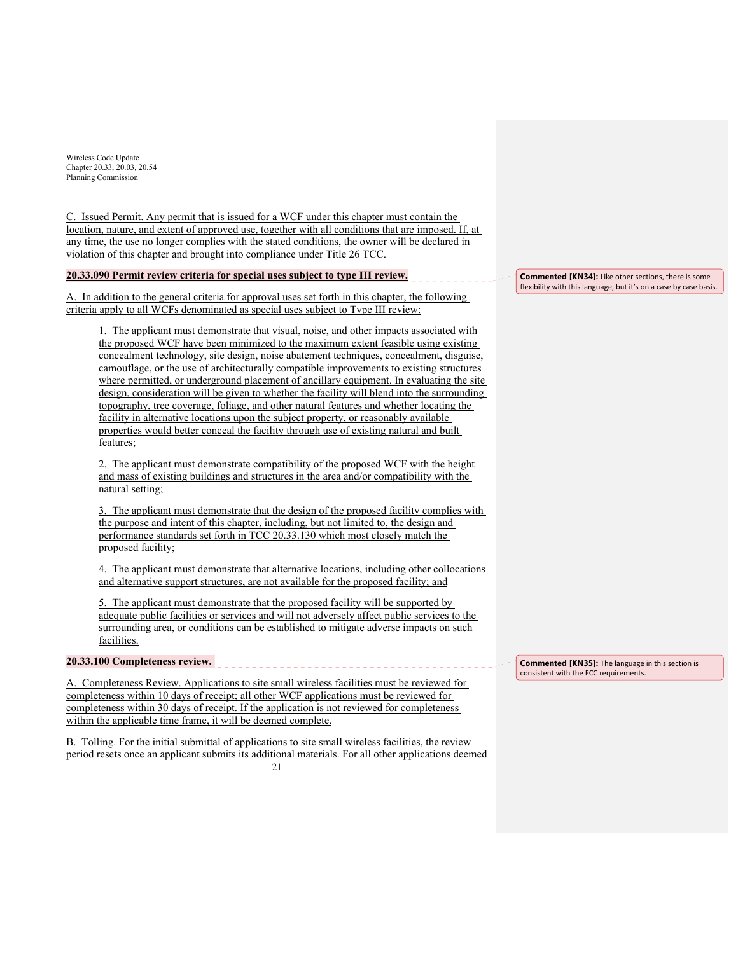C. Issued Permit. Any permit that is issued for a WCF under this chapter must contain the location, nature, and extent of approved use, together with all conditions that are imposed. If, at any time, the use no longer complies with the stated conditions, the owner will be declared in violation of this chapter and brought into compliance under Title 26 TCC.

### **20.33.090 Permit review criteria for special uses subject to type III review.**

A. In addition to the general criteria for approval uses set forth in this chapter, the following criteria apply to all WCFs denominated as special uses subject to Type III review:

The applicant must demonstrate that visual, noise, and other impacts associated with the proposed WCF have been minimized to the maximum extent feasible using existing concealment technology, site design, noise abatement techniques, concealment, disguise, camouflage, or the use of architecturally compatible improvements to existing structures where permitted, or underground placement of ancillary equipment. In evaluating the site design, consideration will be given to whether the facility will blend into the surrounding topography, tree coverage, foliage, and other natural features and whether locating the facility in alternative locations upon the subject property, or reasonably available properties would better conceal the facility through use of existing natural and built features;

2. The applicant must demonstrate compatibility of the proposed WCF with the height and mass of existing buildings and structures in the area and/or compatibility with the natural setting;

3. The applicant must demonstrate that the design of the proposed facility complies with the purpose and intent of this chapter, including, but not limited to, the design and performance standards set forth in TCC 20.33.130 which most closely match the proposed facility;

4. The applicant must demonstrate that alternative locations, including other collocations and alternative support structures, are not available for the proposed facility; and

5. The applicant must demonstrate that the proposed facility will be supported by adequate public facilities or services and will not adversely affect public services to the surrounding area, or conditions can be established to mitigate adverse impacts on such facilities.

### **20.33.100 Completeness review.**

A. Completeness Review. Applications to site small wireless facilities must be reviewed for completeness within 10 days of receipt; all other WCF applications must be reviewed for completeness within 30 days of receipt. If the application is not reviewed for completeness within the applicable time frame, it will be deemed complete.

 $21$ B. Tolling. For the initial submittal of applications to site small wireless facilities, the review period resets once an applicant submits its additional materials. For all other applications deemed **Commented [KN34]:** Like other sections, there is some flexibility with this language, but it's on a case by case basis.

**Commented [KN35]:** The language in this section is consistent with the FCC requirements.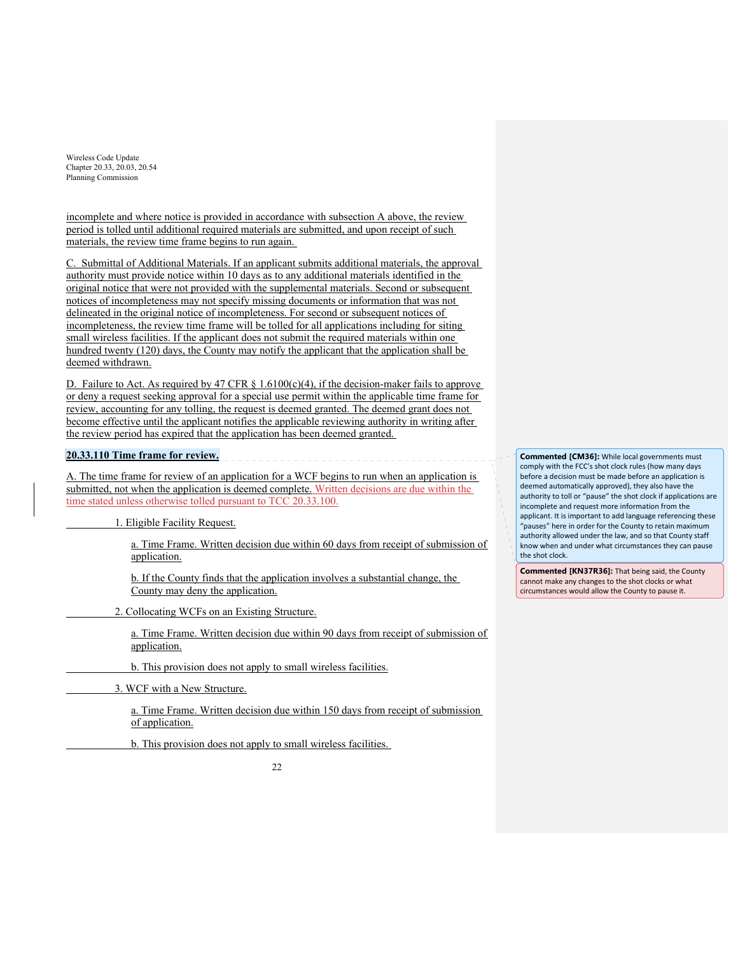incomplete and where notice is provided in accordance with subsection A above, the review period is tolled until additional required materials are submitted, and upon receipt of such materials, the review time frame begins to run again.

C. Submittal of Additional Materials. If an applicant submits additional materials, the approval authority must provide notice within 10 days as to any additional materials identified in the original notice that were not provided with the supplemental materials. Second or subsequent notices of incompleteness may not specify missing documents or information that was not delineated in the original notice of incompleteness. For second or subsequent notices of incompleteness, the review time frame will be tolled for all applications including for siting small wireless facilities. If the applicant does not submit the required materials within one hundred twenty (120) days, the County may notify the applicant that the application shall be deemed withdrawn.

D. Failure to Act. As required by 47 CFR  $\S$  1.6100(c)(4), if the decision-maker fails to approve or deny a request seeking approval for a special use permit within the applicable time frame for review, accounting for any tolling, the request is deemed granted. The deemed grant does not become effective until the applicant notifies the applicable reviewing authority in writing after the review period has expired that the application has been deemed granted.

# **20.33.110 Time frame for review.**

A. The time frame for review of an application for a WCF begins to run when an application is submitted, not when the application is deemed complete. Written decisions are due within the time stated unless otherwise tolled pursuant to TCC 20.33.100.

1. Eligible Facility Request.

a. Time Frame. Written decision due within 60 days from receipt of submission of application.

b. If the County finds that the application involves a substantial change, the County may deny the application.

2. Collocating WCFs on an Existing Structure.

a. Time Frame. Written decision due within 90 days from receipt of submission of application.

b. This provision does not apply to small wireless facilities.

3. WCF with a New Structure.

a. Time Frame. Written decision due within 150 days from receipt of submission of application.

b. This provision does not apply to small wireless facilities.



**Commented [CM36]:** While local governments must comply with the FCC's shot clock rules (how many days before a decision must be made before an application is deemed automatically approved), they also have the authority to toll or "pause" the shot clock if applications are incomplete and request more information from the applicant. It is important to add language referencing these "pauses" here in order for the County to retain maximum authority allowed under the law, and so that County staff know when and under what circumstances they can pause the shot clock.

**Commented [KN37R36]:** That being said, the County cannot make any changes to the shot clocks or what circumstances would allow the County to pause it.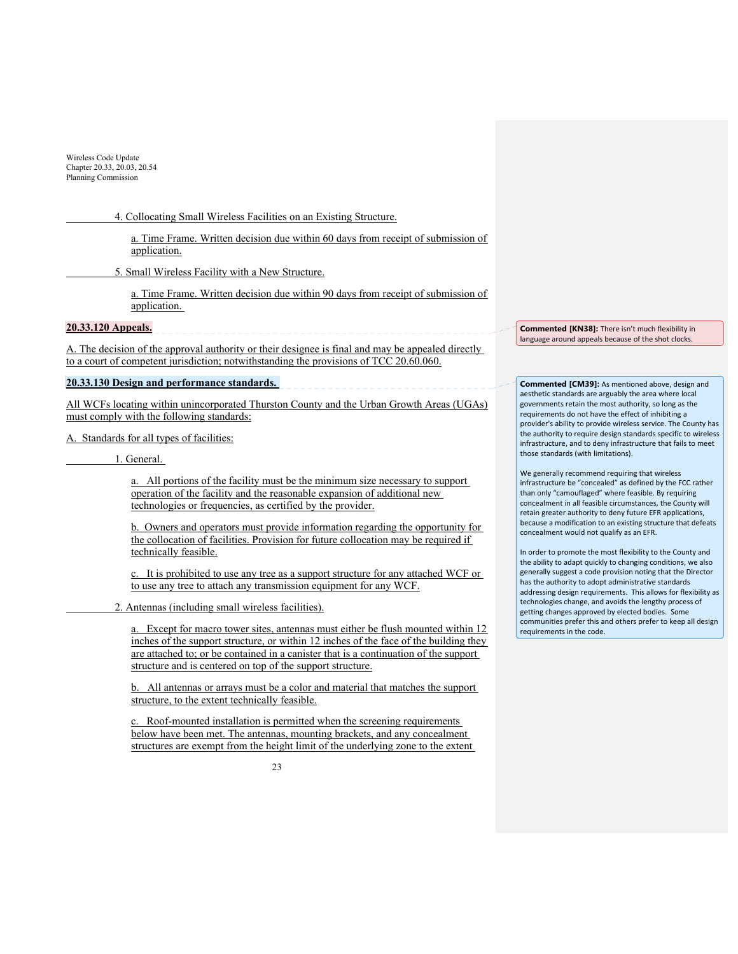4. Collocating Small Wireless Facilities on an Existing Structure.

a. Time Frame. Written decision due within 60 days from receipt of submission of application.

5. Small Wireless Facility with a New Structure.

a. Time Frame. Written decision due within 90 days from receipt of submission of application.

**20.33.120 Appeals.** 

A. The decision of the approval authority or their designee is final and may be appealed directly to a court of competent jurisdiction; notwithstanding the provisions of TCC 20.60.060.

#### **20.33.130 Design and performance standards.**

All WCFs locating within unincorporated Thurston County and the Urban Growth Areas (UGAs) must comply with the following standards:

A. Standards for all types of facilities:

1. General.

a. All portions of the facility must be the minimum size necessary to support operation of the facility and the reasonable expansion of additional new technologies or frequencies, as certified by the provider.

b. Owners and operators must provide information regarding the opportunity for the collocation of facilities. Provision for future collocation may be required if technically feasible.

c. It is prohibited to use any tree as a support structure for any attached WCF or to use any tree to attach any transmission equipment for any WCF.

2. Antennas (including small wireless facilities).

a. Except for macro tower sites, antennas must either be flush mounted within 12 inches of the support structure, or within 12 inches of the face of the building they are attached to; or be contained in a canister that is a continuation of the support structure and is centered on top of the support structure.

b. All antennas or arrays must be a color and material that matches the support structure, to the extent technically feasible.

c. Roof-mounted installation is permitted when the screening requirements below have been met. The antennas, mounting brackets, and any concealment structures are exempt from the height limit of the underlying zone to the extent

 $23$ 

**Commented [KN38]:** There isn't much flexibility in language around appeals because of the shot clocks.

**Commented [CM39]:** As mentioned above, design and aesthetic standards are arguably the area where local governments retain the most authority, so long as the requirements do not have the effect of inhibiting a provider's ability to provide wireless service. The County has the authority to require design standards specific to wireless infrastructure, and to deny infrastructure that fails to meet those standards (with limitations).

We generally recommend requiring that wireless infrastructure be "concealed" as defined by the FCC rather than only "camouflaged" where feasible. By requiring concealment in all feasible circumstances, the County will retain greater authority to deny future EFR applications, because a modification to an existing structure that defeats concealment would not qualify as an EFR.

In order to promote the most flexibility to the County and the ability to adapt quickly to changing conditions, we also generally suggest a code provision noting that the Director has the authority to adopt administrative standards addressing design requirements. This allows for flexibility as technologies change, and avoids the lengthy process of getting changes approved by elected bodies. Some communities prefer this and others prefer to keep all design requirements in the code.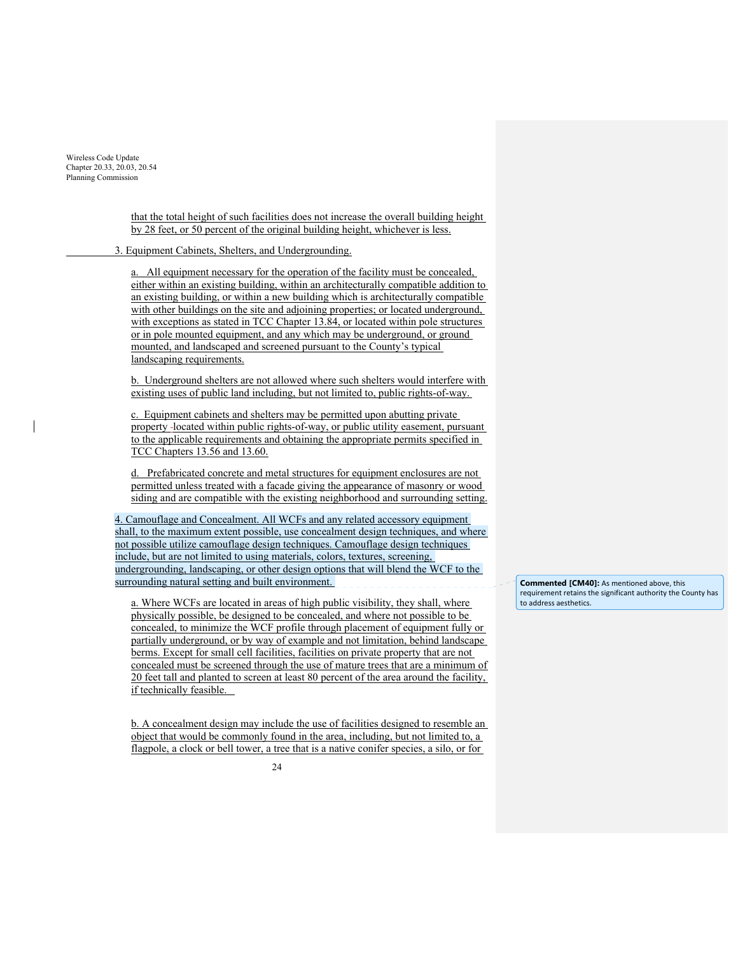> that the total height of such facilities does not increase the overall building height by 28 feet, or 50 percent of the original building height, whichever is less.

3. Equipment Cabinets, Shelters, and Undergrounding.

a. All equipment necessary for the operation of the facility must be concealed, either within an existing building, within an architecturally compatible addition to an existing building, or within a new building which is architecturally compatible with other buildings on the site and adjoining properties; or located underground, with exceptions as stated in TCC Chapter 13.84, or located within pole structures or in pole mounted equipment, and any which may be underground, or ground mounted, and landscaped and screened pursuant to the County's typical landscaping requirements.

b. Underground shelters are not allowed where such shelters would interfere with existing uses of public land including, but not limited to, public rights-of-way.

c. Equipment cabinets and shelters may be permitted upon abutting private property located within public rights-of-way, or public utility easement, pursuant to the applicable requirements and obtaining the appropriate permits specified in TCC Chapters 13.56 and 13.60.

d. Prefabricated concrete and metal structures for equipment enclosures are not permitted unless treated with a facade giving the appearance of masonry or wood siding and are compatible with the existing neighborhood and surrounding setting.

4. Camouflage and Concealment. All WCFs and any related accessory equipment shall, to the maximum extent possible, use concealment design techniques, and where not possible utilize camouflage design techniques. Camouflage design techniques include, but are not limited to using materials, colors, textures, screening, undergrounding, landscaping, or other design options that will blend the WCF to the surrounding natural setting and built environment.

a. Where WCFs are located in areas of high public visibility, they shall, where physically possible, be designed to be concealed, and where not possible to be concealed, to minimize the WCF profile through placement of equipment fully or partially underground, or by way of example and not limitation, behind landscape berms. Except for small cell facilities, facilities on private property that are not concealed must be screened through the use of mature trees that are a minimum of 20 feet tall and planted to screen at least 80 percent of the area around the facility, if technically feasible.

b. A concealment design may include the use of facilities designed to resemble an object that would be commonly found in the area, including, but not limited to, a flagpole, a clock or bell tower, a tree that is a native conifer species, a silo, or for

**Commented [CM40]:** As mentioned above, this requirement retains the significant authority the County has to address aesthetics.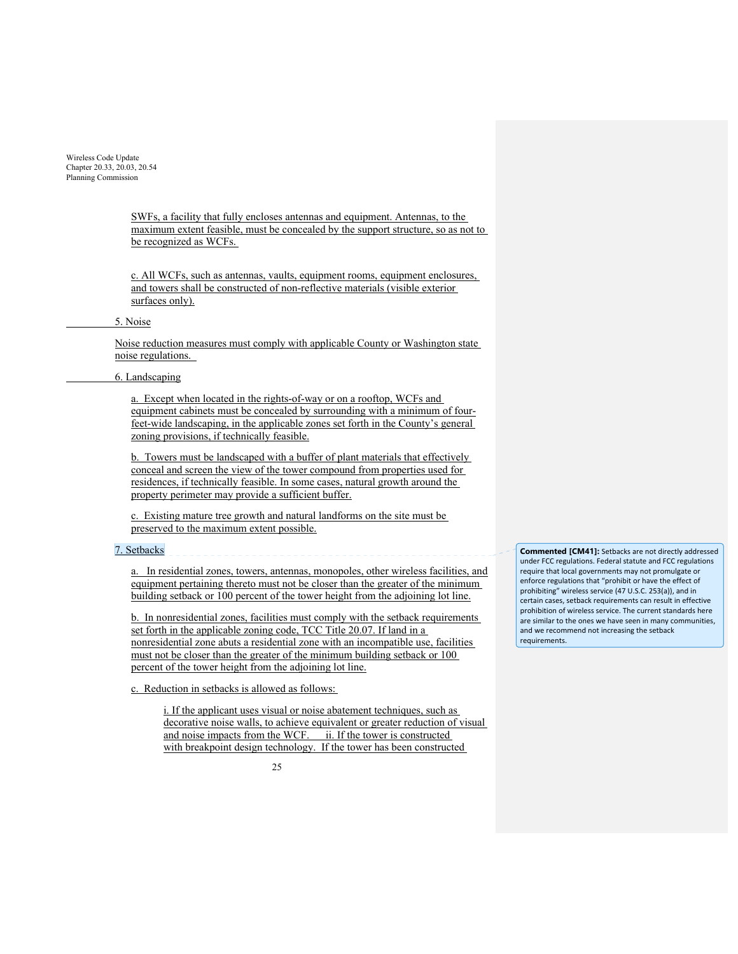> SWFs, a facility that fully encloses antennas and equipment. Antennas, to the maximum extent feasible, must be concealed by the support structure, so as not to be recognized as WCFs.

c. All WCFs, such as antennas, vaults, equipment rooms, equipment enclosures, and towers shall be constructed of non-reflective materials (visible exterior surfaces only).

#### 5. Noise

Noise reduction measures must comply with applicable County or Washington state noise regulations.

## 6. Landscaping

a. Except when located in the rights-of-way or on a rooftop, WCFs and equipment cabinets must be concealed by surrounding with a minimum of fourfeet-wide landscaping, in the applicable zones set forth in the County's general zoning provisions, if technically feasible.

b. Towers must be landscaped with a buffer of plant materials that effectively conceal and screen the view of the tower compound from properties used for residences, if technically feasible. In some cases, natural growth around the property perimeter may provide a sufficient buffer.

c. Existing mature tree growth and natural landforms on the site must be preserved to the maximum extent possible.

### 7. Setbacks

a. In residential zones, towers, antennas, monopoles, other wireless facilities, and equipment pertaining thereto must not be closer than the greater of the minimum building setback or 100 percent of the tower height from the adjoining lot line.

b. In nonresidential zones, facilities must comply with the setback requirements set forth in the applicable zoning code, TCC Title 20.07. If land in a nonresidential zone abuts a residential zone with an incompatible use, facilities must not be closer than the greater of the minimum building setback or 100 percent of the tower height from the adjoining lot line.

c. Reduction in setbacks is allowed as follows:

i. If the applicant uses visual or noise abatement techniques, such as decorative noise walls, to achieve equivalent or greater reduction of visual and noise impacts from the WCF. ii. If the tower is constructed with breakpoint design technology. If the tower has been constructed

 $25$ 

**Commented [CM41]:** Setbacks are not directly addressed under FCC regulations. Federal statute and FCC regulations require that local governments may not promulgate or enforce regulations that "prohibit or have the effect of prohibiting" wireless service (47 U.S.C. 253(a)), and in certain cases, setback requirements can result in effective prohibition of wireless service. The current standards here are similar to the ones we have seen in many communities, and we recommend not increasing the setback requirements.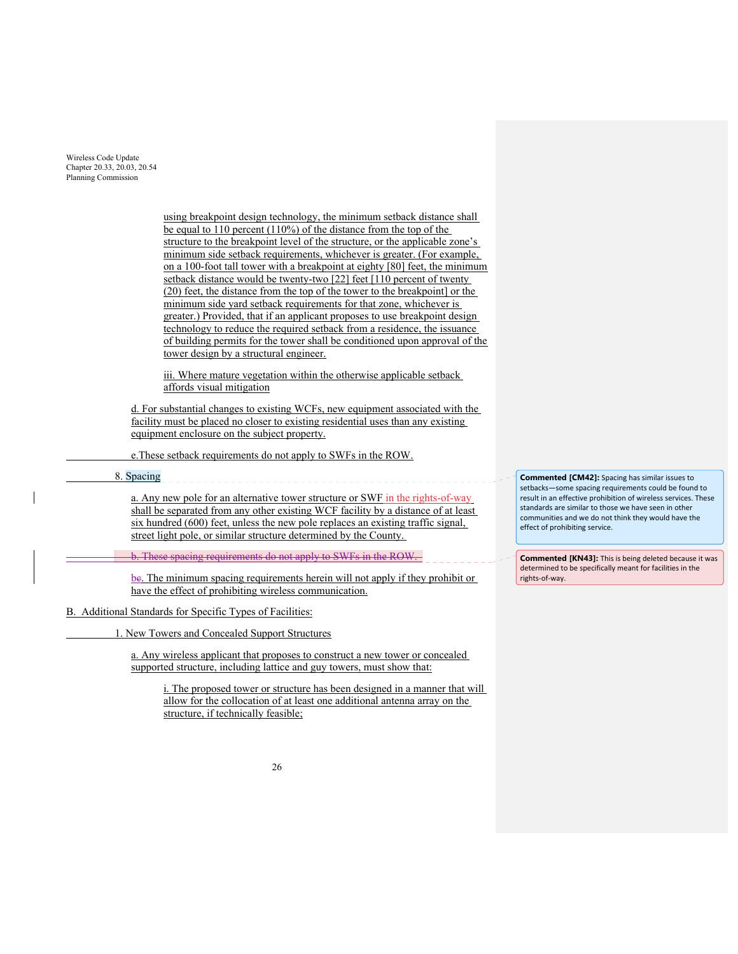> using breakpoint design technology, the minimum setback distance shall be equal to 110 percent (110%) of the distance from the top of the structure to the breakpoint level of the structure, or the applicable zone's minimum side setback requirements, whichever is greater. (For example, on a 100-foot tall tower with a breakpoint at eighty [80] feet, the minimum setback distance would be twenty-two [22] feet [110 percent of twenty (20) feet, the distance from the top of the tower to the breakpoint] or the minimum side yard setback requirements for that zone, whichever is greater.) Provided, that if an applicant proposes to use breakpoint design technology to reduce the required setback from a residence, the issuance of building permits for the tower shall be conditioned upon approval of the tower design by a structural engineer.

iii. Where mature vegetation within the otherwise applicable setback affords visual mitigation

d. For substantial changes to existing WCFs, new equipment associated with the facility must be placed no closer to existing residential uses than any existing equipment enclosure on the subject property.

e.These setback requirements do not apply to SWFs in the ROW.

8. Spacing

a. Any new pole for an alternative tower structure or SWF in the rights-of-way shall be separated from any other existing WCF facility by a distance of at least six hundred (600) feet, unless the new pole replaces an existing traffic signal, street light pole, or similar structure determined by the County.

**b.** These spacing requirements do not apply to SWFs in the ROW.

be. The minimum spacing requirements herein will not apply if they prohibit or have the effect of prohibiting wireless communication.

B. Additional Standards for Specific Types of Facilities:

1. New Towers and Concealed Support Structures

a. Any wireless applicant that proposes to construct a new tower or concealed supported structure, including lattice and guy towers, must show that:

i. The proposed tower or structure has been designed in a manner that will allow for the collocation of at least one additional antenna array on the structure, if technically feasible;

**Commented [CM42]:** Spacing has similar issues to setbacks—some spacing requirements could be found to result in an effective prohibition of wireless services. These standards are similar to those we have seen in other communities and we do not think they would have the effect of prohibiting service.

**Commented [KN43]:** This is being deleted because it was determined to be specifically meant for facilities in the rights‐of‐way.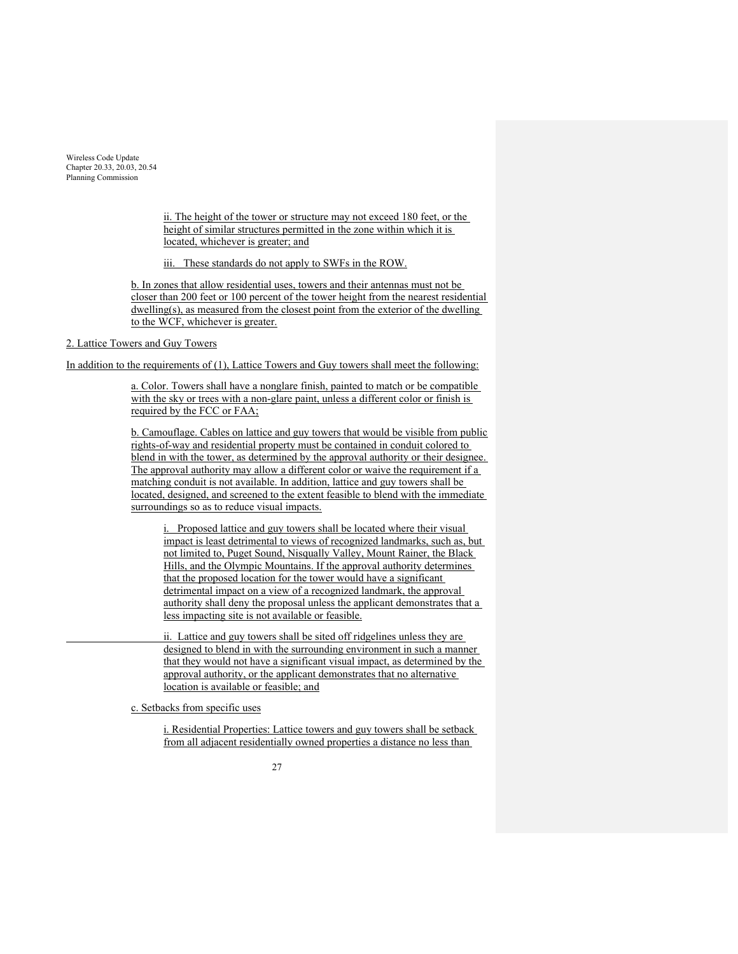> ii. The height of the tower or structure may not exceed 180 feet, or the height of similar structures permitted in the zone within which it is located, whichever is greater; and

iii. These standards do not apply to SWFs in the ROW.

b. In zones that allow residential uses, towers and their antennas must not be closer than 200 feet or 100 percent of the tower height from the nearest residential dwelling(s), as measured from the closest point from the exterior of the dwelling to the WCF, whichever is greater.

# 2. Lattice Towers and Guy Towers

In addition to the requirements of (1), Lattice Towers and Guy towers shall meet the following:

a. Color. Towers shall have a nonglare finish, painted to match or be compatible with the sky or trees with a non-glare paint, unless a different color or finish is required by the FCC or FAA;

b. Camouflage. Cables on lattice and guy towers that would be visible from public rights-of-way and residential property must be contained in conduit colored to blend in with the tower, as determined by the approval authority or their designee. The approval authority may allow a different color or waive the requirement if a matching conduit is not available. In addition, lattice and guy towers shall be located, designed, and screened to the extent feasible to blend with the immediate surroundings so as to reduce visual impacts.

i. Proposed lattice and guy towers shall be located where their visual impact is least detrimental to views of recognized landmarks, such as, but not limited to, Puget Sound, Nisqually Valley, Mount Rainer, the Black Hills, and the Olympic Mountains. If the approval authority determines that the proposed location for the tower would have a significant detrimental impact on a view of a recognized landmark, the approval authority shall deny the proposal unless the applicant demonstrates that a less impacting site is not available or feasible.

 ii. Lattice and guy towers shall be sited off ridgelines unless they are designed to blend in with the surrounding environment in such a manner that they would not have a significant visual impact, as determined by the approval authority, or the applicant demonstrates that no alternative location is available or feasible; and

c. Setbacks from specific uses

i. Residential Properties: Lattice towers and guy towers shall be setback from all adjacent residentially owned properties a distance no less than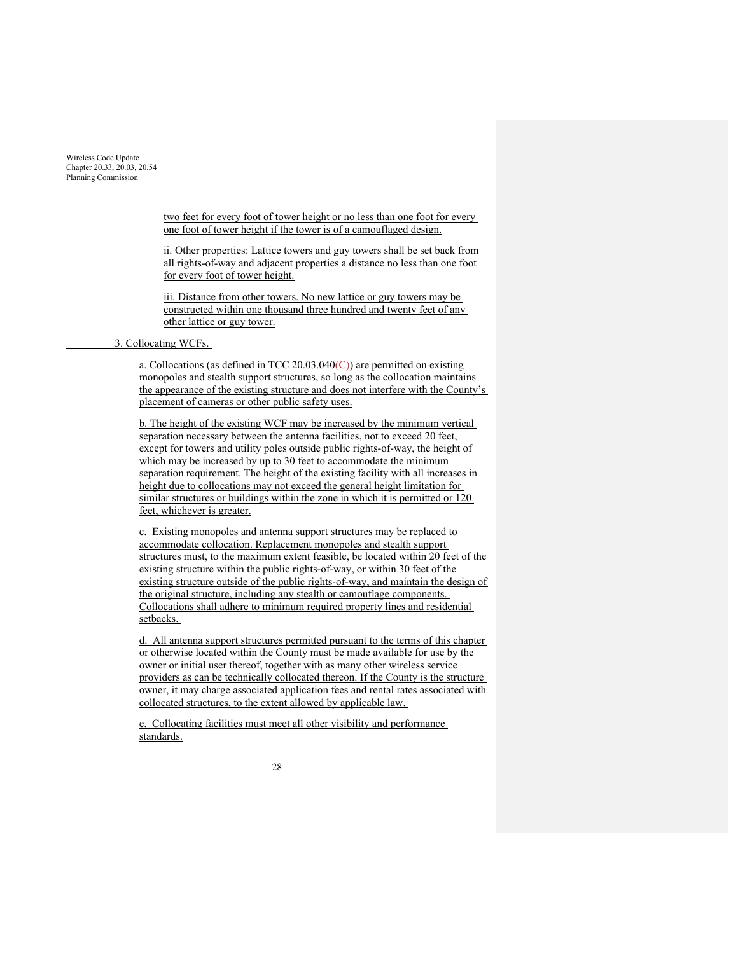> two feet for every foot of tower height or no less than one foot for every one foot of tower height if the tower is of a camouflaged design.

> ii. Other properties: Lattice towers and guy towers shall be set back from all rights-of-way and adjacent properties a distance no less than one foot for every foot of tower height.

iii. Distance from other towers. No new lattice or guy towers may be constructed within one thousand three hundred and twenty feet of any other lattice or guy tower.

# 3. Collocating WCFs.

a. Collocations (as defined in TCC 20.03.040 $\left(\right)$ ) are permitted on existing monopoles and stealth support structures, so long as the collocation maintains the appearance of the existing structure and does not interfere with the County's placement of cameras or other public safety uses.

b. The height of the existing WCF may be increased by the minimum vertical separation necessary between the antenna facilities, not to exceed 20 feet, except for towers and utility poles outside public rights-of-way, the height of which may be increased by up to 30 feet to accommodate the minimum separation requirement. The height of the existing facility with all increases in height due to collocations may not exceed the general height limitation for similar structures or buildings within the zone in which it is permitted or 120 feet, whichever is greater.

c. Existing monopoles and antenna support structures may be replaced to accommodate collocation. Replacement monopoles and stealth support structures must, to the maximum extent feasible, be located within 20 feet of the existing structure within the public rights-of-way, or within 30 feet of the existing structure outside of the public rights-of-way, and maintain the design of the original structure, including any stealth or camouflage components. Collocations shall adhere to minimum required property lines and residential setbacks.

d. All antenna support structures permitted pursuant to the terms of this chapter or otherwise located within the County must be made available for use by the owner or initial user thereof, together with as many other wireless service providers as can be technically collocated thereon. If the County is the structure owner, it may charge associated application fees and rental rates associated with collocated structures, to the extent allowed by applicable law.

e. Collocating facilities must meet all other visibility and performance standards.

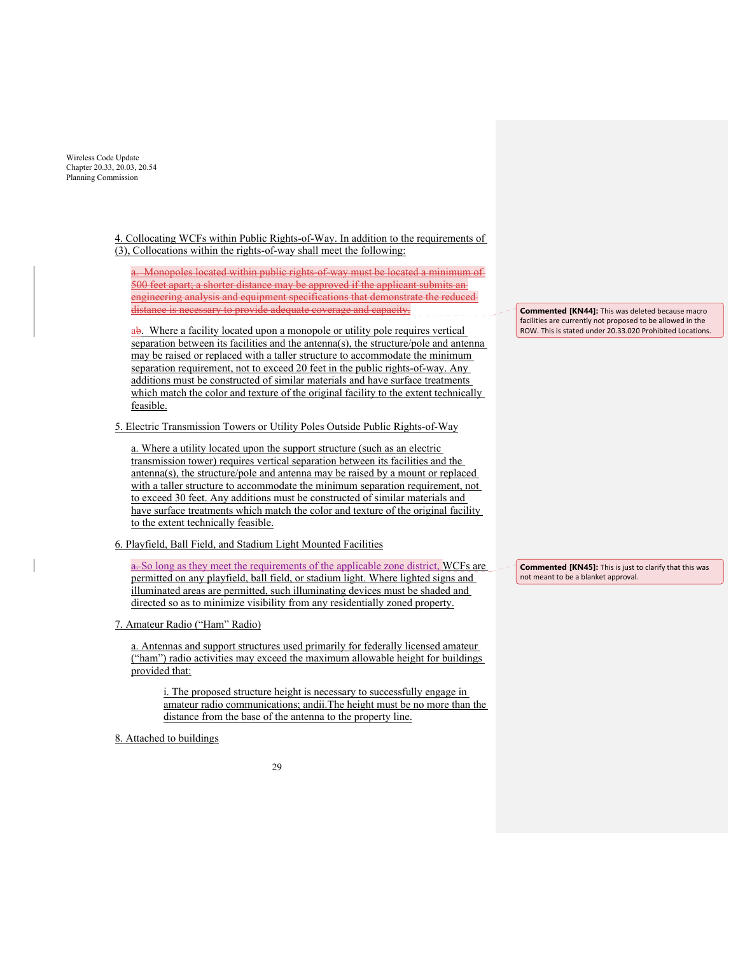> 4. Collocating WCFs within Public Rights-of-Way. In addition to the requirements of (3), Collocations within the rights-of-way shall meet the following:

a. Monopoles located within public rights-of-way must be located a minimum of 500 feet apart; a shorter distance may be approved if the applicant submits an engineering analysis and equipment specifications that demonstrate the reduced distance is necessary to provide adequate coverage and capacity.

ab. Where a facility located upon a monopole or utility pole requires vertical separation between its facilities and the antenna(s), the structure/pole and antenna may be raised or replaced with a taller structure to accommodate the minimum separation requirement, not to exceed 20 feet in the public rights-of-way. Any additions must be constructed of similar materials and have surface treatments which match the color and texture of the original facility to the extent technically feasible.

5. Electric Transmission Towers or Utility Poles Outside Public Rights-of-Way

a. Where a utility located upon the support structure (such as an electric transmission tower) requires vertical separation between its facilities and the antenna(s), the structure/pole and antenna may be raised by a mount or replaced with a taller structure to accommodate the minimum separation requirement, not to exceed 30 feet. Any additions must be constructed of similar materials and have surface treatments which match the color and texture of the original facility to the extent technically feasible.

6. Playfield, Ball Field, and Stadium Light Mounted Facilities

a. So long as they meet the requirements of the applicable zone district, WCFs are permitted on any playfield, ball field, or stadium light. Where lighted signs and illuminated areas are permitted, such illuminating devices must be shaded and directed so as to minimize visibility from any residentially zoned property.

7. Amateur Radio ("Ham" Radio)

a. Antennas and support structures used primarily for federally licensed amateur ("ham") radio activities may exceed the maximum allowable height for buildings provided that:

i. The proposed structure height is necessary to successfully engage in amateur radio communications; andii.The height must be no more than the distance from the base of the antenna to the property line.

8. Attached to buildings

**Commented [KN44]:** This was deleted because macro facilities are currently not proposed to be allowed in the ROW. This is stated under 20.33.020 Prohibited Locations.

**Commented [KN45]:** This is just to clarify that this was not meant to be a blanket approval.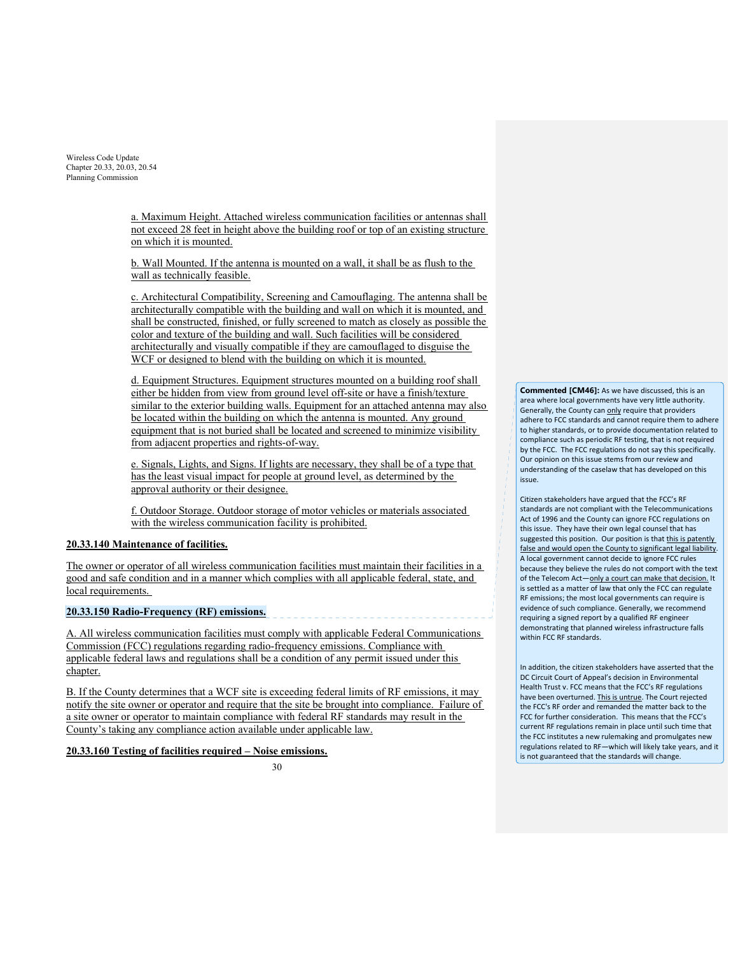> a. Maximum Height. Attached wireless communication facilities or antennas shall not exceed 28 feet in height above the building roof or top of an existing structure on which it is mounted.

b. Wall Mounted. If the antenna is mounted on a wall, it shall be as flush to the wall as technically feasible.

c. Architectural Compatibility, Screening and Camouflaging. The antenna shall be architecturally compatible with the building and wall on which it is mounted, and shall be constructed, finished, or fully screened to match as closely as possible the color and texture of the building and wall. Such facilities will be considered architecturally and visually compatible if they are camouflaged to disguise the WCF or designed to blend with the building on which it is mounted.

d. Equipment Structures. Equipment structures mounted on a building roof shall either be hidden from view from ground level off-site or have a finish/texture similar to the exterior building walls. Equipment for an attached antenna may also be located within the building on which the antenna is mounted. Any ground equipment that is not buried shall be located and screened to minimize visibility from adjacent properties and rights-of-way.

e. Signals, Lights, and Signs. If lights are necessary, they shall be of a type that has the least visual impact for people at ground level, as determined by the approval authority or their designee.

f. Outdoor Storage. Outdoor storage of motor vehicles or materials associated with the wireless communication facility is prohibited.

# **20.33.140 Maintenance of facilities.**

The owner or operator of all wireless communication facilities must maintain their facilities in a good and safe condition and in a manner which complies with all applicable federal, state, and local requirements.

# **20.33.150 Radio-Frequency (RF) emissions.**

A. All wireless communication facilities must comply with applicable Federal Communications Commission (FCC) regulations regarding radio-frequency emissions. Compliance with applicable federal laws and regulations shall be a condition of any permit issued under this chapter.

B. If the County determines that a WCF site is exceeding federal limits of RF emissions, it may notify the site owner or operator and require that the site be brought into compliance. Failure of a site owner or operator to maintain compliance with federal RF standards may result in the County's taking any compliance action available under applicable law.

# **20.33.160 Testing of facilities required – Noise emissions.**

30

**Commented [CM46]:** As we have discussed, this is an area where local governments have very little authority. Generally, the County can only require that providers adhere to FCC standards and cannot require them to adhere to higher standards, or to provide documentation related to compliance such as periodic RF testing, that is not required by the FCC. The FCC regulations do not say this specifically. Our opinion on this issue stems from our review and understanding of the caselaw that has developed on this issue.

Citizen stakeholders have argued that the FCC's RF standards are not compliant with the Telecommunications Act of 1996 and the County can ignore FCC regulations on this issue. They have their own legal counsel that has suggested this position. Our position is that this is patently false and would open the County to significant legal liability. A local government cannot decide to ignore FCC rules because they believe the rules do not comport with the text of the Telecom Act-only a court can make that decision. It is settled as a matter of law that only the FCC can regulate RF emissions; the most local governments can require is evidence of such compliance. Generally, we recommend requiring a signed report by a qualified RF engineer demonstrating that planned wireless infrastructure falls within FCC RF standards.

In addition, the citizen stakeholders have asserted that the DC Circuit Court of Appeal's decision in Environmental Health Trust v. FCC means that the FCC's RF regulations have been overturned. This is untrue. The Court rejected the FCC's RF order and remanded the matter back to the FCC for further consideration. This means that the FCC's current RF regulations remain in place until such time that the FCC institutes a new rulemaking and promulgates new regulations related to RF—which will likely take years, and it is not guaranteed that the standards will change.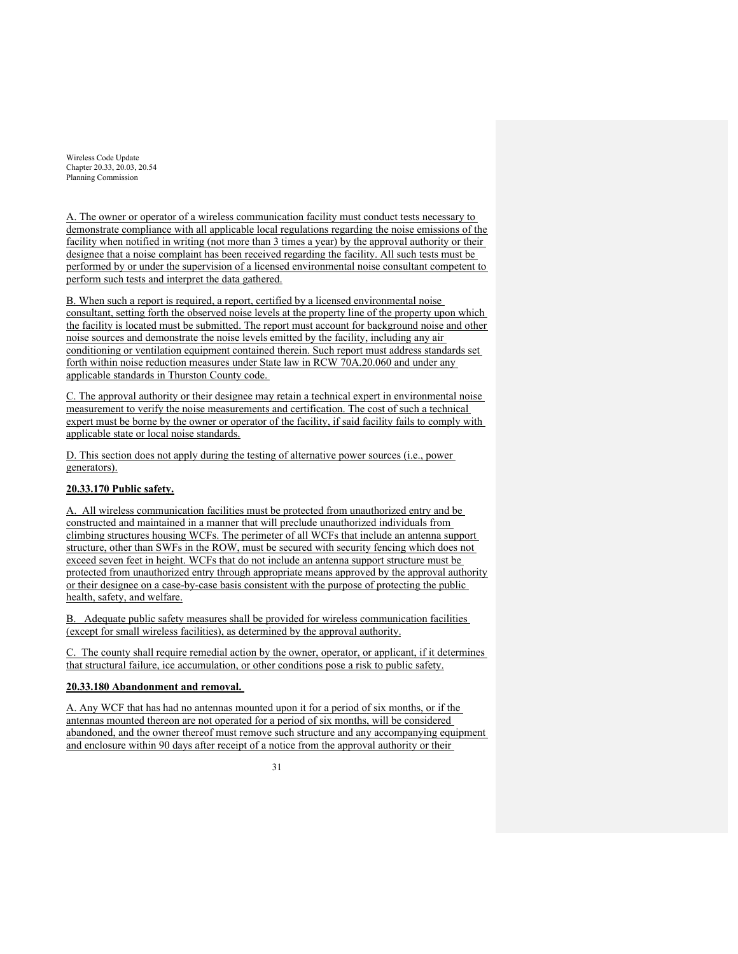A. The owner or operator of a wireless communication facility must conduct tests necessary to demonstrate compliance with all applicable local regulations regarding the noise emissions of the facility when notified in writing (not more than 3 times a year) by the approval authority or their designee that a noise complaint has been received regarding the facility. All such tests must be performed by or under the supervision of a licensed environmental noise consultant competent to perform such tests and interpret the data gathered.

B. When such a report is required, a report, certified by a licensed environmental noise consultant, setting forth the observed noise levels at the property line of the property upon which the facility is located must be submitted. The report must account for background noise and other noise sources and demonstrate the noise levels emitted by the facility, including any air conditioning or ventilation equipment contained therein. Such report must address standards set forth within noise reduction measures under State law in RCW 70A.20.060 and under any applicable standards in Thurston County code.

C. The approval authority or their designee may retain a technical expert in environmental noise measurement to verify the noise measurements and certification. The cost of such a technical expert must be borne by the owner or operator of the facility, if said facility fails to comply with applicable state or local noise standards.

D. This section does not apply during the testing of alternative power sources (i.e., power generators).

# **20.33.170 Public safety.**

A. All wireless communication facilities must be protected from unauthorized entry and be constructed and maintained in a manner that will preclude unauthorized individuals from climbing structures housing WCFs. The perimeter of all WCFs that include an antenna support structure, other than SWFs in the ROW, must be secured with security fencing which does not exceed seven feet in height. WCFs that do not include an antenna support structure must be protected from unauthorized entry through appropriate means approved by the approval authority or their designee on a case-by-case basis consistent with the purpose of protecting the public health, safety, and welfare.

B. Adequate public safety measures shall be provided for wireless communication facilities (except for small wireless facilities), as determined by the approval authority.

C. The county shall require remedial action by the owner, operator, or applicant, if it determines that structural failure, ice accumulation, or other conditions pose a risk to public safety.

### **20.33.180 Abandonment and removal.**

A. Any WCF that has had no antennas mounted upon it for a period of six months, or if the antennas mounted thereon are not operated for a period of six months, will be considered abandoned, and the owner thereof must remove such structure and any accompanying equipment and enclosure within 90 days after receipt of a notice from the approval authority or their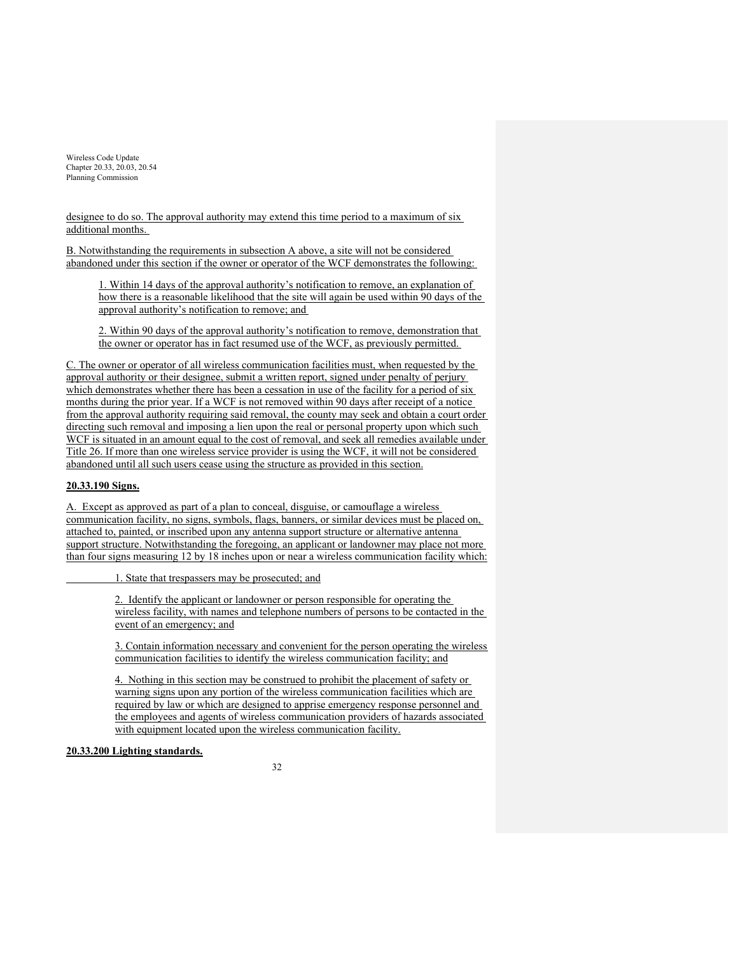designee to do so. The approval authority may extend this time period to a maximum of six additional months.

B. Notwithstanding the requirements in subsection A above, a site will not be considered abandoned under this section if the owner or operator of the WCF demonstrates the following:

1. Within 14 days of the approval authority's notification to remove, an explanation of how there is a reasonable likelihood that the site will again be used within 90 days of the approval authority's notification to remove; and

2. Within 90 days of the approval authority's notification to remove, demonstration that the owner or operator has in fact resumed use of the WCF, as previously permitted.

C. The owner or operator of all wireless communication facilities must, when requested by the approval authority or their designee, submit a written report, signed under penalty of perjury which demonstrates whether there has been a cessation in use of the facility for a period of six months during the prior year. If a WCF is not removed within 90 days after receipt of a notice from the approval authority requiring said removal, the county may seek and obtain a court order directing such removal and imposing a lien upon the real or personal property upon which such WCF is situated in an amount equal to the cost of removal, and seek all remedies available under Title 26. If more than one wireless service provider is using the WCF, it will not be considered abandoned until all such users cease using the structure as provided in this section.

## **20.33.190 Signs.**

A. Except as approved as part of a plan to conceal, disguise, or camouflage a wireless communication facility, no signs, symbols, flags, banners, or similar devices must be placed on, attached to, painted, or inscribed upon any antenna support structure or alternative antenna support structure. Notwithstanding the foregoing, an applicant or landowner may place not more than four signs measuring 12 by 18 inches upon or near a wireless communication facility which:

1. State that trespassers may be prosecuted; and

2. Identify the applicant or landowner or person responsible for operating the wireless facility, with names and telephone numbers of persons to be contacted in the event of an emergency; and

3. Contain information necessary and convenient for the person operating the wireless communication facilities to identify the wireless communication facility; and

4. Nothing in this section may be construed to prohibit the placement of safety or warning signs upon any portion of the wireless communication facilities which are required by law or which are designed to apprise emergency response personnel and the employees and agents of wireless communication providers of hazards associated with equipment located upon the wireless communication facility.

### **20.33.200 Lighting standards.**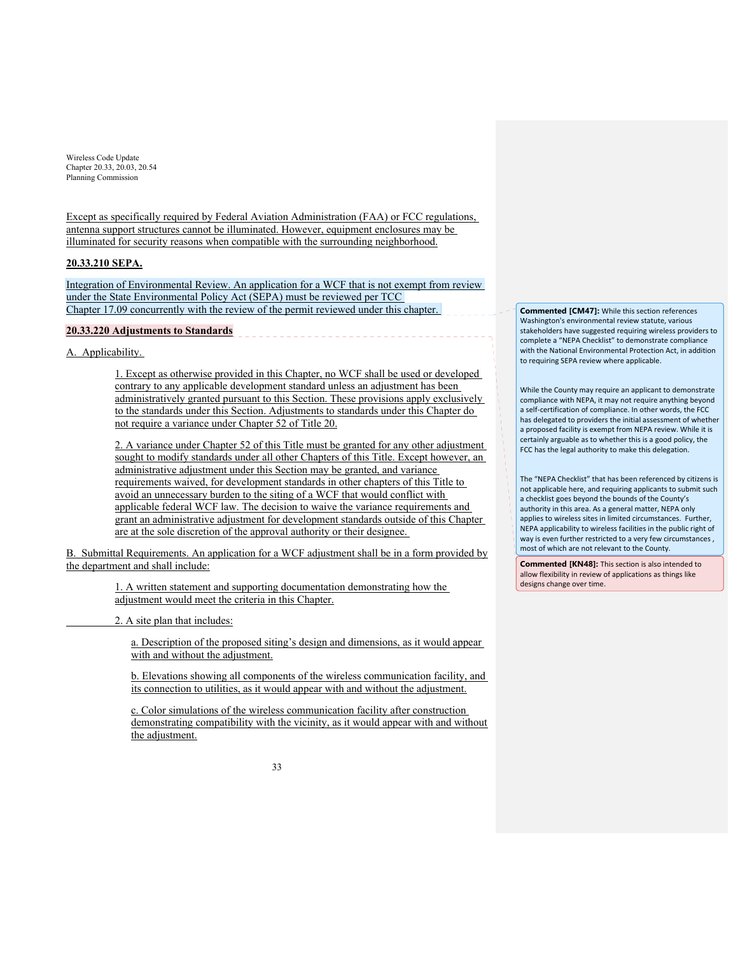Except as specifically required by Federal Aviation Administration (FAA) or FCC regulations, antenna support structures cannot be illuminated. However, equipment enclosures may be illuminated for security reasons when compatible with the surrounding neighborhood.

## **20.33.210 SEPA.**

Integration of Environmental Review. An application for a WCF that is not exempt from review under the State Environmental Policy Act (SEPA) must be reviewed per TCC Chapter 17.09 concurrently with the review of the permit reviewed under this chapter.

### **20.33.220 Adjustments to Standards**

A. Applicability.

1. Except as otherwise provided in this Chapter, no WCF shall be used or developed contrary to any applicable development standard unless an adjustment has been administratively granted pursuant to this Section. These provisions apply exclusively to the standards under this Section. Adjustments to standards under this Chapter do not require a variance under Chapter 52 of Title 20.

2. A variance under Chapter 52 of this Title must be granted for any other adjustment sought to modify standards under all other Chapters of this Title. Except however, an administrative adjustment under this Section may be granted, and variance requirements waived, for development standards in other chapters of this Title to avoid an unnecessary burden to the siting of a WCF that would conflict with applicable federal WCF law. The decision to waive the variance requirements and grant an administrative adjustment for development standards outside of this Chapter are at the sole discretion of the approval authority or their designee.

B. Submittal Requirements. An application for a WCF adjustment shall be in a form provided by the department and shall include:

> 1. A written statement and supporting documentation demonstrating how the adjustment would meet the criteria in this Chapter.

2. A site plan that includes:

a. Description of the proposed siting's design and dimensions, as it would appear with and without the adjustment.

b. Elevations showing all components of the wireless communication facility, and its connection to utilities, as it would appear with and without the adjustment.

c. Color simulations of the wireless communication facility after construction demonstrating compatibility with the vicinity, as it would appear with and without the adjustment.

**Commented [CM47]:** While this section references Washington's environmental review statute, various stakeholders have suggested requiring wireless providers to complete a "NEPA Checklist" to demonstrate compliance with the National Environmental Protection Act, in addition to requiring SEPA review where applicable.

While the County may require an applicant to demonstrate compliance with NEPA, it may not require anything beyond a self‐certification of compliance. In other words, the FCC has delegated to providers the initial assessment of whether a proposed facility is exempt from NEPA review. While it is certainly arguable as to whether this is a good policy, the FCC has the legal authority to make this delegation.

The "NEPA Checklist" that has been referenced by citizens is not applicable here, and requiring applicants to submit such a checklist goes beyond the bounds of the County's authority in this area. As a general matter, NEPA only applies to wireless sites in limited circumstances. Further, NEPA applicability to wireless facilities in the public right of way is even further restricted to a very few circumstances , most of which are not relevant to the County.

**Commented [KN48]:** This section is also intended to allow flexibility in review of applications as things like designs change over time.